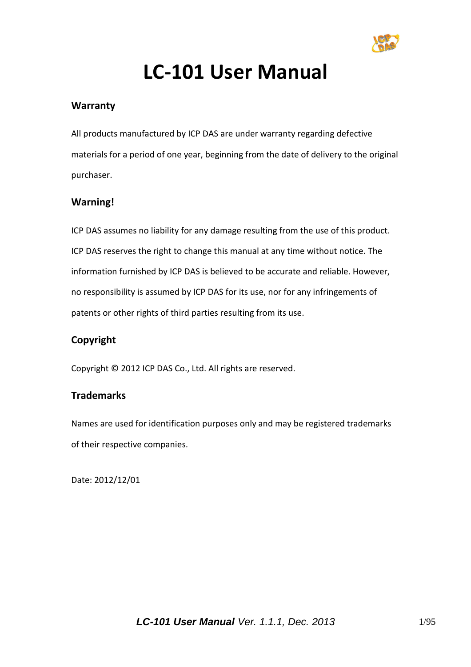

# **LC-101 User Manual**

### **Warranty**

All products manufactured by ICP DAS are under warranty regarding defective materials for a period of one year, beginning from the date of delivery to the original purchaser.

### **Warning!**

ICP DAS assumes no liability for any damage resulting from the use of this product. ICP DAS reserves the right to change this manual at any time without notice. The information furnished by ICP DAS is believed to be accurate and reliable. However, no responsibility is assumed by ICP DAS for its use, nor for any infringements of patents or other rights of third parties resulting from its use.

### **Copyright**

Copyright © 2012 ICP DAS Co., Ltd. All rights are reserved.

### **Trademarks**

Names are used for identification purposes only and may be registered trademarks of their respective companies.

Date: 2012/12/01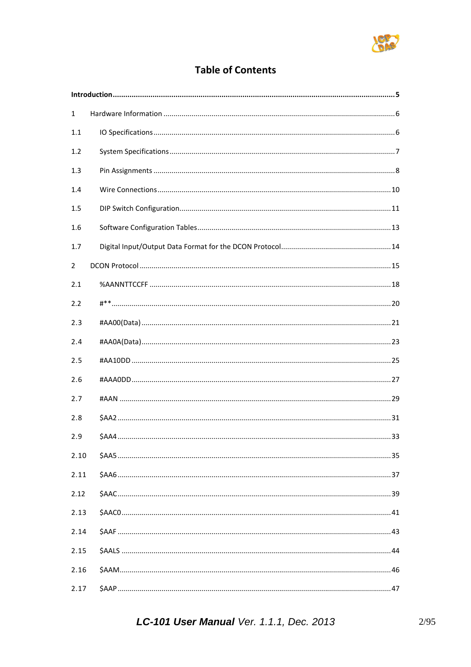

### **Table of Contents**

| 1    |  |
|------|--|
| 1.1  |  |
| 1.2  |  |
| 1.3  |  |
| 1.4  |  |
| 1.5  |  |
| 1.6  |  |
| 1.7  |  |
| 2    |  |
| 2.1  |  |
| 2.2  |  |
| 2.3  |  |
| 2.4  |  |
| 2.5  |  |
| 2.6  |  |
| 2.7  |  |
| 2.8  |  |
| 2.9  |  |
| 2.10 |  |
| 2.11 |  |
| 2.12 |  |
| 2.13 |  |
| 2.14 |  |
| 2.15 |  |
| 2.16 |  |
| 2.17 |  |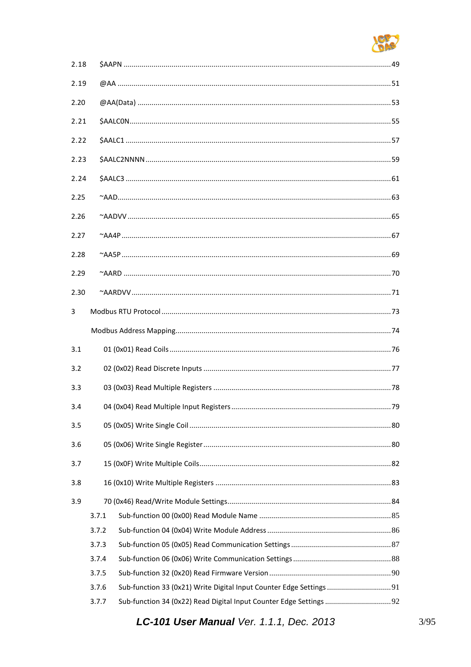

| 2.18 |       |                                                                                                                                                                                                                                                                                                                                                                                  |  |
|------|-------|----------------------------------------------------------------------------------------------------------------------------------------------------------------------------------------------------------------------------------------------------------------------------------------------------------------------------------------------------------------------------------|--|
| 2.19 |       |                                                                                                                                                                                                                                                                                                                                                                                  |  |
| 2.20 |       |                                                                                                                                                                                                                                                                                                                                                                                  |  |
| 2.21 |       |                                                                                                                                                                                                                                                                                                                                                                                  |  |
| 2.22 |       |                                                                                                                                                                                                                                                                                                                                                                                  |  |
| 2.23 |       |                                                                                                                                                                                                                                                                                                                                                                                  |  |
| 2.24 |       |                                                                                                                                                                                                                                                                                                                                                                                  |  |
| 2.25 |       |                                                                                                                                                                                                                                                                                                                                                                                  |  |
| 2.26 |       |                                                                                                                                                                                                                                                                                                                                                                                  |  |
| 2.27 |       |                                                                                                                                                                                                                                                                                                                                                                                  |  |
| 2.28 |       |                                                                                                                                                                                                                                                                                                                                                                                  |  |
| 2.29 |       |                                                                                                                                                                                                                                                                                                                                                                                  |  |
| 2.30 |       | $\verb YAARDVV  1, \verb 1 , \verb 1 , \verb 1 , \verb 1 , \verb 1 , \verb 1 , \verb 1 , \verb 1 , \verb 1 , \verb 1 , \verb 1 , \verb 1 , \verb 1 , \verb 1 , \verb 1 , \verb 1 , \verb 1 , \verb 1 , \verb 1 , \verb 1 , \verb 1 , \verb 1 , \verb 1 , \verb 1 , \verb 1 , \verb 1 , \verb 1 , \verb 1 , \verb 1 , \verb 1 , \verb 1 , \verb 1 , \verb 1 , \verb 1 , \verb 1 $ |  |
| 3    |       |                                                                                                                                                                                                                                                                                                                                                                                  |  |
|      |       |                                                                                                                                                                                                                                                                                                                                                                                  |  |
| 3.1  |       |                                                                                                                                                                                                                                                                                                                                                                                  |  |
|      |       |                                                                                                                                                                                                                                                                                                                                                                                  |  |
| 3.2  |       |                                                                                                                                                                                                                                                                                                                                                                                  |  |
| 3.3  |       |                                                                                                                                                                                                                                                                                                                                                                                  |  |
| 3.4  |       |                                                                                                                                                                                                                                                                                                                                                                                  |  |
| 3.5  |       |                                                                                                                                                                                                                                                                                                                                                                                  |  |
| 3.6  |       |                                                                                                                                                                                                                                                                                                                                                                                  |  |
| 3.7  |       |                                                                                                                                                                                                                                                                                                                                                                                  |  |
| 3.8  |       |                                                                                                                                                                                                                                                                                                                                                                                  |  |
| 3.9  |       |                                                                                                                                                                                                                                                                                                                                                                                  |  |
|      | 3.7.1 |                                                                                                                                                                                                                                                                                                                                                                                  |  |
|      | 3.7.2 |                                                                                                                                                                                                                                                                                                                                                                                  |  |
|      | 3.7.3 |                                                                                                                                                                                                                                                                                                                                                                                  |  |
|      | 3.7.4 |                                                                                                                                                                                                                                                                                                                                                                                  |  |
|      | 3.7.5 |                                                                                                                                                                                                                                                                                                                                                                                  |  |
|      | 3.7.6 | Sub-function 33 (0x21) Write Digital Input Counter Edge Settings  91                                                                                                                                                                                                                                                                                                             |  |
|      | 3.7.7 | Sub-function 34 (0x22) Read Digital Input Counter Edge Settings 92                                                                                                                                                                                                                                                                                                               |  |
|      |       |                                                                                                                                                                                                                                                                                                                                                                                  |  |

LC-101 User Manual Ver. 1.1.1, Dec. 2013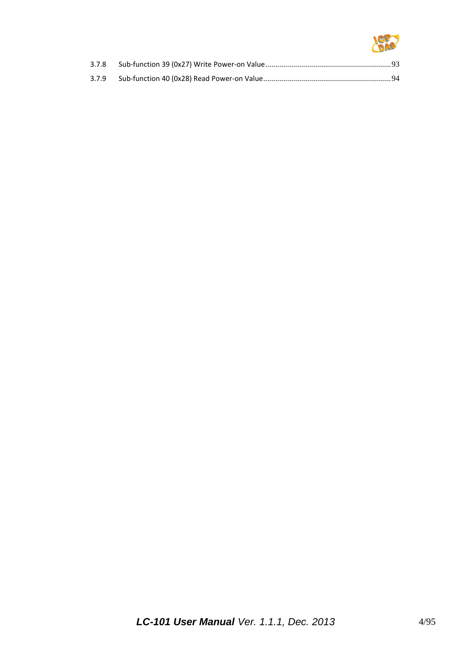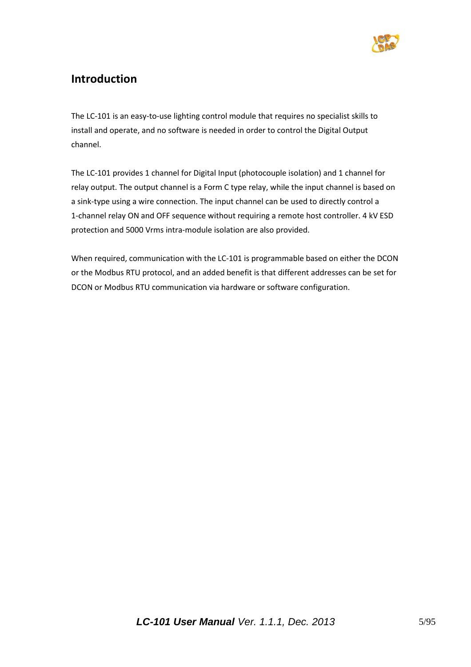

### **Introduction**

The LC-101 is an easy-to-use lighting control module that requires no specialist skills to install and operate, and no software is needed in order to control the Digital Output channel.

The LC-101 provides 1 channel for Digital Input (photocouple isolation) and 1 channel for relay output. The output channel is a Form C type relay, while the input channel is based on a sink-type using a wire connection. The input channel can be used to directly control a 1-channel relay ON and OFF sequence without requiring a remote host controller. 4 kV ESD protection and 5000 Vrms intra-module isolation are also provided.

When required, communication with the LC-101 is programmable based on either the DCON or the Modbus RTU protocol, and an added benefit is that different addresses can be set for DCON or Modbus RTU communication via hardware or software configuration.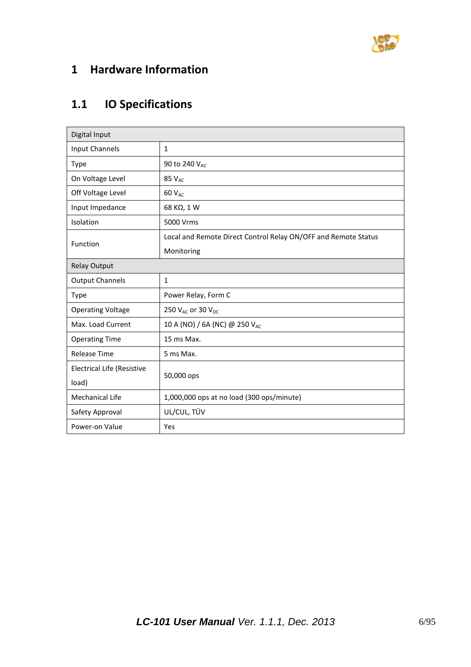

## **1 Hardware Information**

## **1.1 IO Specifications**

| Digital Input              |                                                                |  |  |
|----------------------------|----------------------------------------------------------------|--|--|
| Input Channels             | $\mathbf{1}$                                                   |  |  |
| Type                       | 90 to 240 VAC                                                  |  |  |
| On Voltage Level           | 85 V <sub>AC</sub>                                             |  |  |
| Off Voltage Level          | $60V_{AC}$                                                     |  |  |
| Input Impedance            | 68 KΩ, 1 W                                                     |  |  |
| Isolation                  | 5000 Vrms                                                      |  |  |
| Function                   | Local and Remote Direct Control Relay ON/OFF and Remote Status |  |  |
|                            | Monitoring                                                     |  |  |
| <b>Relay Output</b>        |                                                                |  |  |
| <b>Output Channels</b>     | $\mathbf{1}$                                                   |  |  |
| Type                       | Power Relay, Form C                                            |  |  |
| <b>Operating Voltage</b>   | 250 V <sub>AC</sub> or 30 V <sub>DC</sub>                      |  |  |
| Max. Load Current          | 10 A (NO) / 6A (NC) @ 250 V <sub>AC</sub>                      |  |  |
| <b>Operating Time</b>      | 15 ms Max.                                                     |  |  |
| Release Time               | 5 ms Max.                                                      |  |  |
| Electrical Life (Resistive | 50,000 ops                                                     |  |  |
| load)                      |                                                                |  |  |
| Mechanical Life            | 1,000,000 ops at no load (300 ops/minute)                      |  |  |
| Safety Approval            | UL/CUL, TÜV                                                    |  |  |
| Power-on Value             | Yes                                                            |  |  |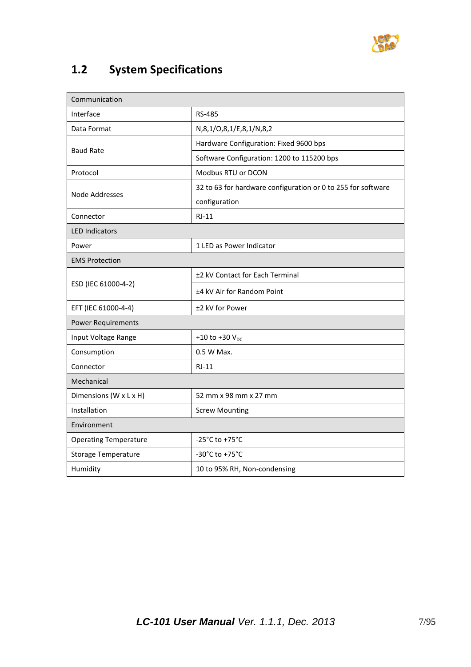

## **1.2 System Specifications**

| Communication                |                                                              |  |  |  |
|------------------------------|--------------------------------------------------------------|--|--|--|
| Interface                    | <b>RS-485</b>                                                |  |  |  |
| Data Format                  | N,8,1/O,8,1/E,8,1/N,8,2                                      |  |  |  |
| <b>Baud Rate</b>             | Hardware Configuration: Fixed 9600 bps                       |  |  |  |
|                              | Software Configuration: 1200 to 115200 bps                   |  |  |  |
| Protocol                     | Modbus RTU or DCON                                           |  |  |  |
| Node Addresses               | 32 to 63 for hardware configuration or 0 to 255 for software |  |  |  |
|                              | configuration                                                |  |  |  |
| Connector                    | $RJ-11$                                                      |  |  |  |
| <b>LED Indicators</b>        |                                                              |  |  |  |
| Power                        | 1 LED as Power Indicator                                     |  |  |  |
| <b>EMS Protection</b>        |                                                              |  |  |  |
|                              | ±2 kV Contact for Each Terminal                              |  |  |  |
| ESD (IEC 61000-4-2)          | ±4 kV Air for Random Point                                   |  |  |  |
| EFT (IEC 61000-4-4)          | ±2 kV for Power                                              |  |  |  |
| <b>Power Requirements</b>    |                                                              |  |  |  |
| Input Voltage Range          | +10 to +30 $V_{DC}$                                          |  |  |  |
| Consumption                  | 0.5 W Max.                                                   |  |  |  |
| Connector                    | $RJ-11$                                                      |  |  |  |
| Mechanical                   |                                                              |  |  |  |
| Dimensions (W x L x H)       | 52 mm x 98 mm x 27 mm                                        |  |  |  |
| Installation                 | <b>Screw Mounting</b>                                        |  |  |  |
| Environment                  |                                                              |  |  |  |
| <b>Operating Temperature</b> | -25°C to +75°C                                               |  |  |  |
| <b>Storage Temperature</b>   | $-30^{\circ}$ C to $+75^{\circ}$ C                           |  |  |  |
| Humidity                     | 10 to 95% RH, Non-condensing                                 |  |  |  |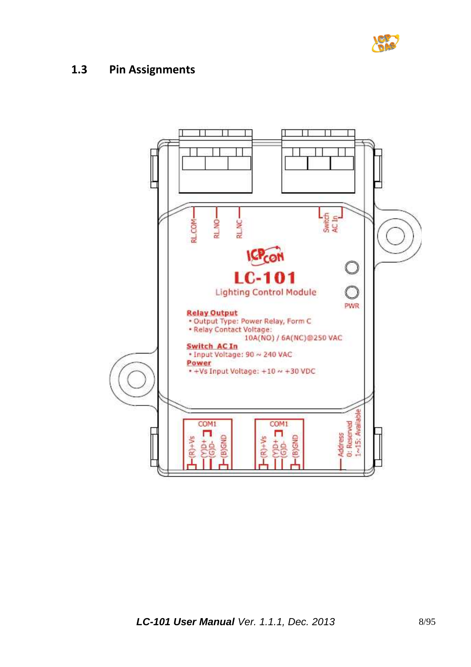

### **1.3 Pin Assignments**

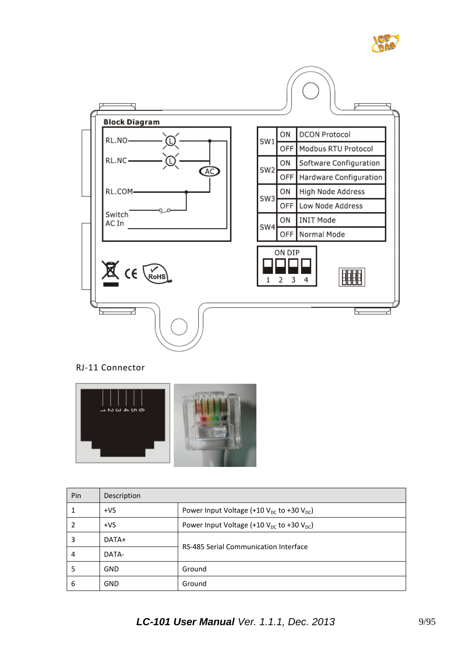



#### RJ-11 Connector



| Pin | Description |                                                     |  |  |  |  |
|-----|-------------|-----------------------------------------------------|--|--|--|--|
|     | $+VS$       | Power Input Voltage (+10 $V_{DC}$ to +30 $V_{DC}$ ) |  |  |  |  |
| 2   | $+VS$       | Power Input Voltage (+10 $V_{DC}$ to +30 $V_{DC}$ ) |  |  |  |  |
| 3   | DATA+       | RS-485 Serial Communication Interface               |  |  |  |  |
| 4   | DATA-       |                                                     |  |  |  |  |
| 5   | GND         | Ground                                              |  |  |  |  |
| 6   | <b>GND</b>  | Ground                                              |  |  |  |  |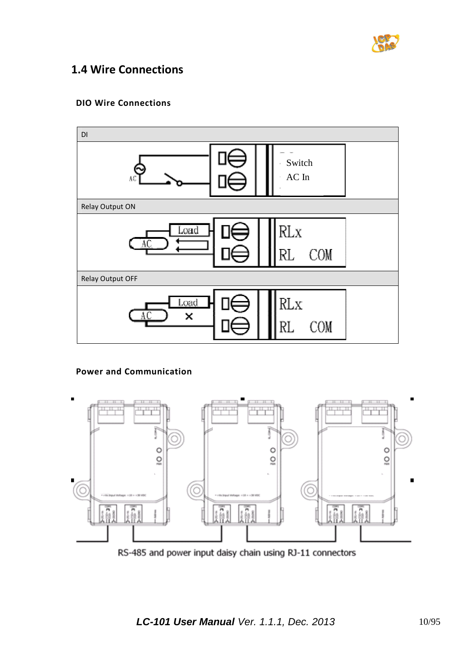

### **1.4 Wire Connections**

#### **DIO Wire Connections**



#### **Power and Communication**



RS-485 and power input daisy chain using RJ-11 connectors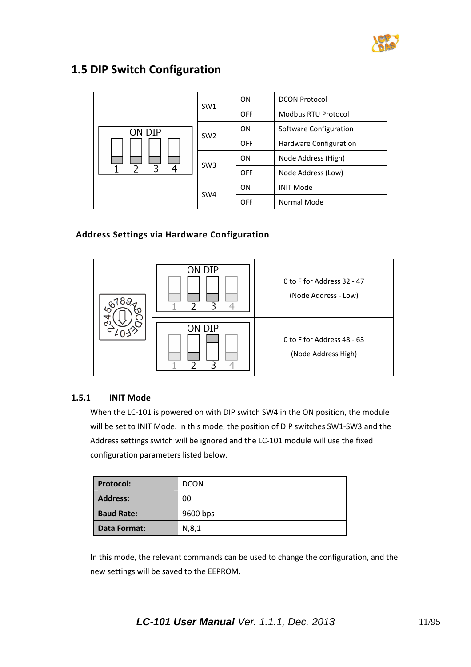

### **1.5 DIP Switch Configuration**

|             | SW <sub>1</sub> | ON         | <b>DCON Protocol</b>   |
|-------------|-----------------|------------|------------------------|
|             |                 | <b>OFF</b> | Modbus RTU Protocol    |
| <b>DIP</b>  | SW <sub>2</sub> | <b>ON</b>  | Software Configuration |
|             |                 | <b>OFF</b> | Hardware Configuration |
|             | SW <sub>3</sub> | ON         | Node Address (High)    |
| 3<br>ר<br>4 |                 | <b>OFF</b> | Node Address (Low)     |
|             |                 | ON         | <b>INIT Mode</b>       |
|             | SW4             | <b>OFF</b> | Normal Mode            |

#### **Address Settings via Hardware Configuration**



#### **1.5.1 INIT Mode**

When the LC-101 is powered on with DIP switch SW4 in the ON position, the module will be set to INIT Mode. In this mode, the position of DIP switches SW1-SW3 and the Address settings switch will be ignored and the LC-101 module will use the fixed configuration parameters listed below.

| <b>Protocol:</b>  | <b>DCON</b> |
|-------------------|-------------|
| <b>Address:</b>   | 00          |
| <b>Baud Rate:</b> | 9600 bps    |
| Data Format:      | N, 8, 1     |

In this mode, the relevant commands can be used to change the configuration, and the new settings will be saved to the EEPROM.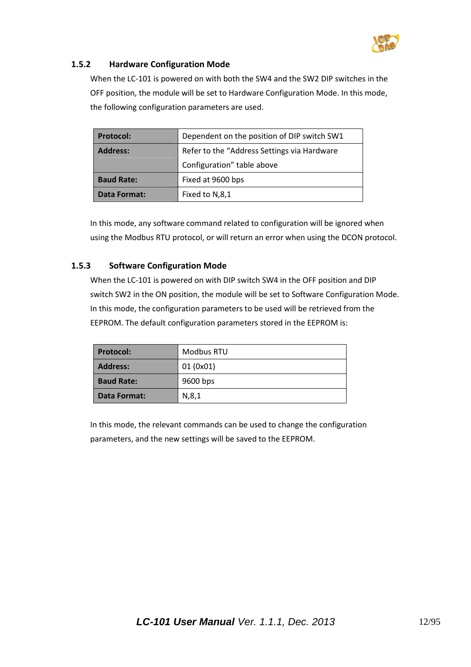

#### **1.5.2 Hardware Configuration Mode**

When the LC-101 is powered on with both the SW4 and the SW2 DIP switches in the OFF position, the module will be set to Hardware Configuration Mode. In this mode, the following configuration parameters are used.

| <b>Protocol:</b>    | Dependent on the position of DIP switch SW1 |  |  |
|---------------------|---------------------------------------------|--|--|
| <b>Address:</b>     | Refer to the "Address Settings via Hardware |  |  |
|                     | Configuration" table above                  |  |  |
| <b>Baud Rate:</b>   | Fixed at 9600 bps                           |  |  |
| <b>Data Format:</b> | Fixed to N,8,1                              |  |  |

In this mode, any software command related to configuration will be ignored when using the Modbus RTU protocol, or will return an error when using the DCON protocol.

#### **1.5.3 Software Configuration Mode**

When the LC-101 is powered on with DIP switch SW4 in the OFF position and DIP switch SW2 in the ON position, the module will be set to Software Configuration Mode. In this mode, the configuration parameters to be used will be retrieved from the EEPROM. The default configuration parameters stored in the EEPROM is:

| <b>Protocol:</b>  | Modbus RTU |
|-------------------|------------|
| <b>Address:</b>   | 01 (0x01)  |
| <b>Baud Rate:</b> | 9600 bps   |
| Data Format:      | N, 8, 1    |

In this mode, the relevant commands can be used to change the configuration parameters, and the new settings will be saved to the EEPROM.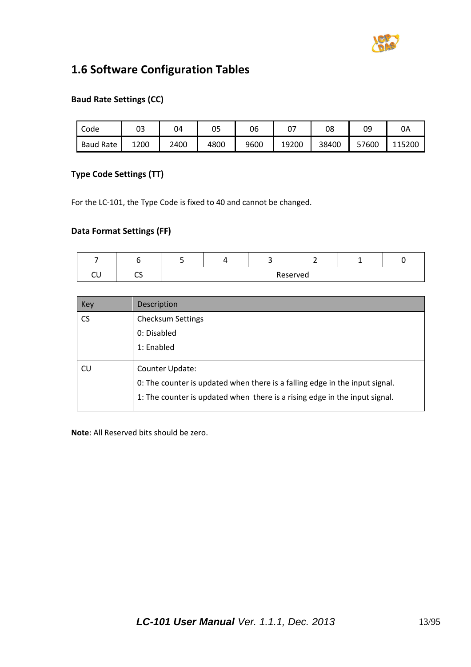

## **1.6 Software Configuration Tables**

#### **Baud Rate Settings (CC)**

| Code             | 03   | 04   | 05   | 06   | רח<br>υ. | 80    | 09    |        |
|------------------|------|------|------|------|----------|-------|-------|--------|
| <b>Baud Rate</b> | 1200 | 2400 | 4800 | 9600 | 19200    | 38400 | 57600 | 115200 |

#### **Type Code Settings (TT)**

For the LC-101, the Type Code is fixed to 40 and cannot be changed.

#### **Data Format Settings (FF)**

| .<br>ັບ | --<br>ັ | Reserved |  |  |  |  |  |
|---------|---------|----------|--|--|--|--|--|

| Key       | Description                                                                 |
|-----------|-----------------------------------------------------------------------------|
| <b>CS</b> | <b>Checksum Settings</b>                                                    |
|           | 0: Disabled                                                                 |
|           | 1: Enabled                                                                  |
| CU        | Counter Update:                                                             |
|           | 0: The counter is updated when there is a falling edge in the input signal. |
|           | 1: The counter is updated when there is a rising edge in the input signal.  |

**Note**: All Reserved bits should be zero.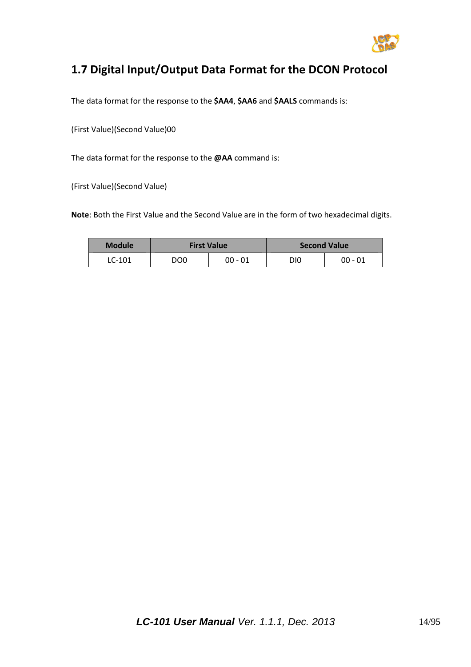

### **1.7 Digital Input/Output Data Format for the DCON Protocol**

The data format for the response to the **\$AA4**, **\$AA6** and **\$AALS** commands is:

(First Value)(Second Value)00

The data format for the response to the **@AA** command is:

(First Value)(Second Value)

**Note**: Both the First Value and the Second Value are in the form of two hexadecimal digits.

| <b>Module</b> | <b>First Value</b> |           | <b>Second Value</b> |           |  |
|---------------|--------------------|-----------|---------------------|-----------|--|
| $LC-101$      | DO0                | $00 - 01$ | DI0                 | $00 - 01$ |  |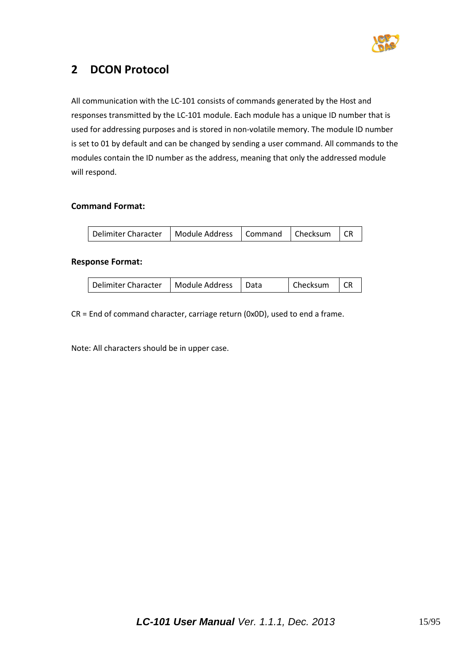

### **2 DCON Protocol**

All communication with the LC-101 consists of commands generated by the Host and responses transmitted by the LC-101 module. Each module has a unique ID number that is used for addressing purposes and is stored in non-volatile memory. The module ID number is set to 01 by default and can be changed by sending a user command. All commands to the modules contain the ID number as the address, meaning that only the addressed module will respond.

#### **Command Format:**

| Delimiter Character   Module Address   Command   Checksum   CR |  |
|----------------------------------------------------------------|--|
|----------------------------------------------------------------|--|

#### **Response Format:**

| Delimiter Character | Module Address   Data |  | Checksum |  |
|---------------------|-----------------------|--|----------|--|
|---------------------|-----------------------|--|----------|--|

CR = End of command character, carriage return (0x0D), used to end a frame.

Note: All characters should be in upper case.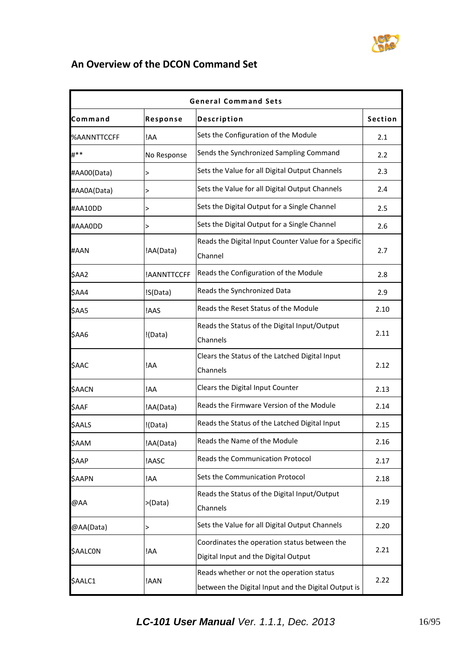

### **An Overview of the DCON Command Set**

| <b>General Command Sets</b> |             |                                                                                                  |         |
|-----------------------------|-------------|--------------------------------------------------------------------------------------------------|---------|
| Command                     | Response    | Description                                                                                      | Section |
| %AANNTTCCFF                 | !AA         | Sets the Configuration of the Module                                                             | 2.1     |
| #**                         | No Response | Sends the Synchronized Sampling Command                                                          | 2.2     |
| #AA00(Data)                 | >           | Sets the Value for all Digital Output Channels                                                   | 2.3     |
| #AA0A(Data)                 | >           | Sets the Value for all Digital Output Channels                                                   | 2.4     |
| #AA10DD                     | >           | Sets the Digital Output for a Single Channel                                                     | 2.5     |
| #AAA0DD                     | >           | Sets the Digital Output for a Single Channel                                                     | 2.6     |
| #AAN                        | !AA(Data)   | Reads the Digital Input Counter Value for a Specific<br>Channel                                  | 2.7     |
| \$AA2                       | !AANNTTCCFF | Reads the Configuration of the Module                                                            | 2.8     |
| \$AA4                       | !S(Data)    | Reads the Synchronized Data                                                                      | 2.9     |
| \$AA5                       | !AAS        | Reads the Reset Status of the Module                                                             | 2.10    |
| \$AA6                       | !(Data)     | Reads the Status of the Digital Input/Output<br>Channels                                         | 2.11    |
| \$AAC                       | <b>!AA</b>  | Clears the Status of the Latched Digital Input<br>Channels                                       | 2.12    |
| <b>\$AACN</b>               | !AA         | Clears the Digital Input Counter                                                                 | 2.13    |
| <b>\$AAF</b>                | !AA(Data)   | Reads the Firmware Version of the Module                                                         | 2.14    |
| <b>\$AALS</b>               | !(Data)     | Reads the Status of the Latched Digital Input                                                    | 2.15    |
| \$AAM                       | !AA(Data)   | Reads the Name of the Module                                                                     | 2.16    |
| <b>\$AAP</b>                | !AASC       | Reads the Communication Protocol                                                                 | 2.17    |
| \$AAPN                      | !AA         | Sets the Communication Protocol                                                                  | 2.18    |
| @AA                         | >(Data)     | Reads the Status of the Digital Input/Output<br>Channels                                         | 2.19    |
| @AA(Data)                   | >           | Sets the Value for all Digital Output Channels                                                   | 2.20    |
| <b>\$AALCON</b>             | !AA         | Coordinates the operation status between the<br>Digital Input and the Digital Output             | 2.21    |
| \$AALC1                     | !AAN        | Reads whether or not the operation status<br>between the Digital Input and the Digital Output is | 2.22    |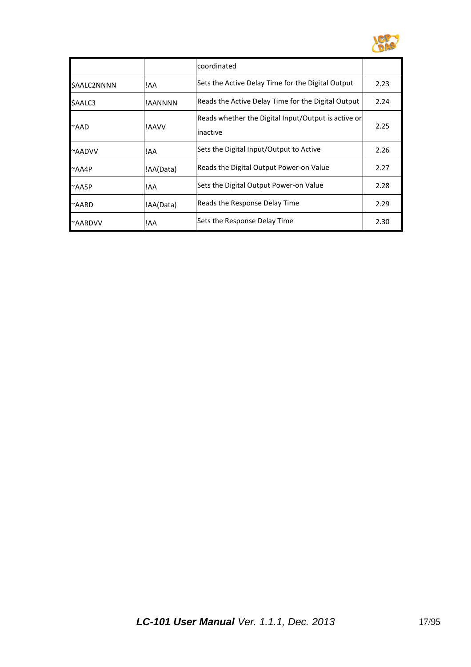

|                   |           | coordinated                                                     |      |
|-------------------|-----------|-----------------------------------------------------------------|------|
| <b>SAALC2NNNN</b> | !AA       | Sets the Active Delay Time for the Digital Output               | 2.23 |
| <b>\$AALC3</b>    | !AANNNN   | Reads the Active Delay Time for the Digital Output              | 2.24 |
| ∼AAD              | !AAVV     | Reads whether the Digital Input/Output is active or<br>inactive | 2.25 |
| ~AADVV            | !AA       | Sets the Digital Input/Output to Active                         | 2.26 |
| $\sim$ AA4P       | !AA(Data) | Reads the Digital Output Power-on Value                         | 2.27 |
| $\sim$ AA5P       | !AA       | Sets the Digital Output Power-on Value                          | 2.28 |
| $\sim$ AARD       | !AA(Data) | Reads the Response Delay Time                                   | 2.29 |
| ~AARDVV           | !AA       | Sets the Response Delay Time                                    | 2.30 |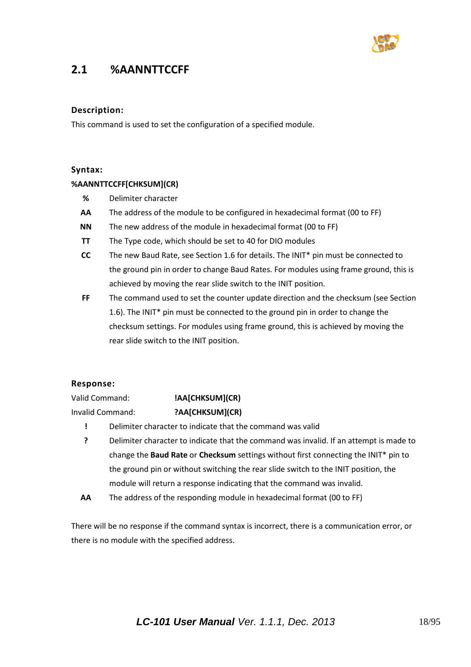

### **2.1 %AANNTTCCFF**

#### **Description:**

This command is used to set the configuration of a specified module.

#### **Syntax:**

#### **%AANNTTCCFF[CHKSUM](CR)**

- **%** Delimiter character
- **AA** The address of the module to be configured in hexadecimal format (00 to FF)
- **NN** The new address of the module in hexadecimal format (00 to FF)
- **TT** The Type code, which should be set to 40 for DIO modules
- **CC** The new Baud Rate, see Section 1.6 for details. The INIT\* pin must be connected to the ground pin in order to change Baud Rates. For modules using frame ground, this is achieved by moving the rear slide switch to the INIT position.
- FF The command used to set the counter update direction and the checksum (see Section 1.6). The INIT\* pin must be connected to the ground pin in order to change the checksum settings. For modules using frame ground, this is achieved by moving the rear slide switch to the INIT position.

#### **Response:**

| Valid Command:   | !AA[CHKSUM](CR) |
|------------------|-----------------|
| Invalid Command: | ?AA[CHKSUM](CR) |

- **!** Delimiter character to indicate that the command was valid
- **?** Delimiter character to indicate that the command was invalid. If an attempt is made to change the **Baud Rate** or **Checksum** settings without first connecting the INIT\* pin to the ground pin or without switching the rear slide switch to the INIT position, the module will return a response indicating that the command was invalid.
- **AA** The address of the responding module in hexadecimal format (00 to FF)

There will be no response if the command syntax is incorrect, there is a communication error, or there is no module with the specified address.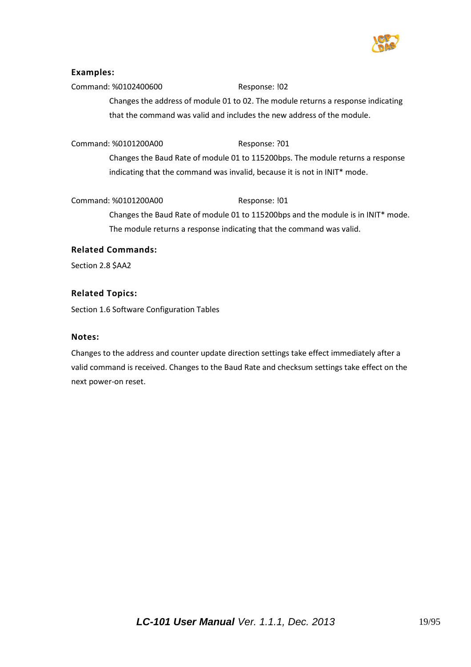

#### **Examples:**

Command: %0102400600 Response: !02

 Changes the address of module 01 to 02. The module returns a response indicating that the command was valid and includes the new address of the module.

#### Command: %0101200A00 Response: ?01

 Changes the Baud Rate of module 01 to 115200bps. The module returns a response indicating that the command was invalid, because it is not in INIT\* mode.

#### Command: %0101200A00 Response: !01

 Changes the Baud Rate of module 01 to 115200bps and the module is in INIT\* mode. The module returns a response indicating that the command was valid.

#### **Related Commands:**

Section 2.8 \$AA2

#### **Related Topics:**

Section 1.6 Software Configuration Tables

#### **Notes:**

Changes to the address and counter update direction settings take effect immediately after a valid command is received. Changes to the Baud Rate and checksum settings take effect on the next power-on reset.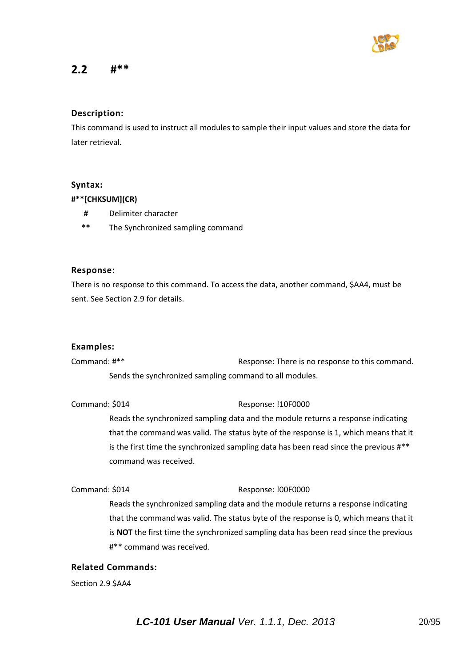

### **2.2 #\*\***

#### **Description:**

This command is used to instruct all modules to sample their input values and store the data for later retrieval.

#### **Syntax:**

#### **#\*\*[CHKSUM](CR)**

- **#** Delimiter character
- **\*\*** The Synchronized sampling command

#### **Response:**

There is no response to this command. To access the data, another command, \$AA4, must be sent. See Section 2.9 for details.

#### **Examples:**

Command: #\*\* Response: There is no response to this command. Sends the synchronized sampling command to all modules.

Command: \$014 Response: !10F0000 Reads the synchronized sampling data and the module returns a response indicating that the command was valid. The status byte of the response is 1, which means that it is the first time the synchronized sampling data has been read since the previous  $\#$ \*\* command was received.

Command: \$014 Response: !00F0000

 Reads the synchronized sampling data and the module returns a response indicating that the command was valid. The status byte of the response is 0, which means that it is **NOT** the first time the synchronized sampling data has been read since the previous #\*\* command was received.

#### **Related Commands:**

Section 2.9 \$AA4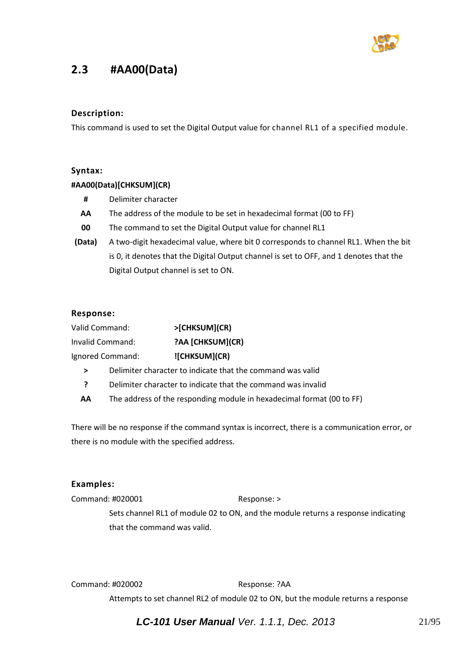

### **2.3 #AA00(Data)**

#### **Description:**

This command is used to set the Digital Output value for channel RL1 of a specified module.

#### **Syntax:**

#### **#AA00(Data)[CHKSUM](CR)**

- **#** Delimiter character
- **AA** The address of the module to be set in hexadecimal format (00 to FF)
- **00** The command to set the Digital Output value for channel RL1
- **(Data)** A two-digit hexadecimal value, where bit 0 corresponds to channel RL1. When the bit is 0, it denotes that the Digital Output channel is set to OFF, and 1 denotes that the Digital Output channel is set to ON.

#### **Response:**

| Valid Command:   | >[CHKSUM](CR)    |
|------------------|------------------|
| Invalid Command: | ?AA [CHKSUM](CR) |
| Ignored Command: | ![CHKSUM](CR)    |

- **>** Delimiter character to indicate that the command was valid
- **?** Delimiter character to indicate that the command was invalid
- **AA** The address of the responding module in hexadecimal format (00 to FF)

There will be no response if the command syntax is incorrect, there is a communication error, or there is no module with the specified address.

#### **Examples:**

Command: #020001 Response: > Sets channel RL1 of module 02 to ON, and the module returns a response indicating that the command was valid.

Command: #020002 Response: ?AA

Attempts to set channel RL2 of module 02 to ON, but the module returns a response

**LC-101 User Manual** Ver. 1.1.1, Dec. 2013 21/95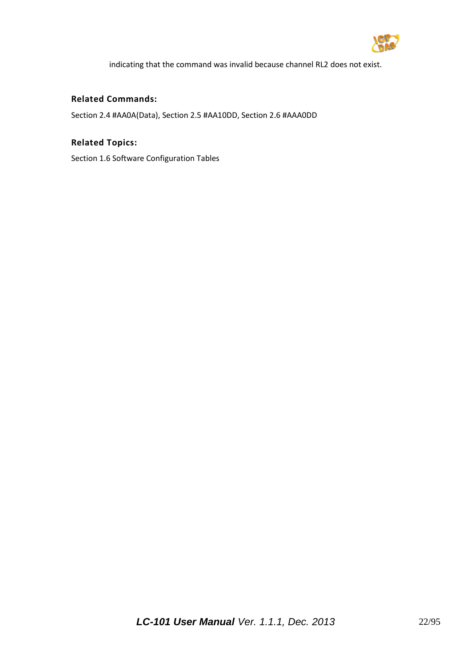

indicating that the command was invalid because channel RL2 does not exist.

#### **Related Commands:**

Section 2.4 #AA0A(Data), Section 2.5 #AA10DD, Section 2.6 #AAA0DD

#### **Related Topics:**

Section 1.6 Software Configuration Tables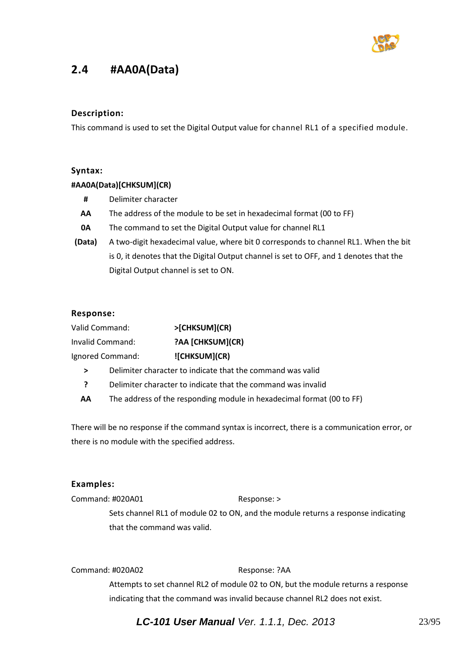

### **2.4 #AA0A(Data)**

#### **Description:**

This command is used to set the Digital Output value for channel RL1 of a specified module.

#### **Syntax:**

#### **#AA0A(Data)[CHKSUM](CR)**

- **#** Delimiter character
- **AA** The address of the module to be set in hexadecimal format (00 to FF)
- **0A** The command to set the Digital Output value for channel RL1
- **(Data)** A two-digit hexadecimal value, where bit 0 corresponds to channel RL1. When the bit is 0, it denotes that the Digital Output channel is set to OFF, and 1 denotes that the Digital Output channel is set to ON.

#### **Response:**

| Valid Command:   | $>$ [CHKSUM](CR) |
|------------------|------------------|
| Invalid Command: | ?AA [CHKSUM](CR) |
| Ignored Command: | ![CHKSUM](CR)    |

- **>** Delimiter character to indicate that the command was valid
- **?** Delimiter character to indicate that the command was invalid
- **AA** The address of the responding module in hexadecimal format (00 to FF)

There will be no response if the command syntax is incorrect, there is a communication error, or there is no module with the specified address.

#### **Examples:**

Command: #020A01 Response: > Sets channel RL1 of module 02 to ON, and the module returns a response indicating that the command was valid.

Command: #020A02 Response: ?AA Attempts to set channel RL2 of module 02 to ON, but the module returns a response indicating that the command was invalid because channel RL2 does not exist.

#### **LC-101 User Manual** Ver. 1.1.1, Dec. 2013 23/95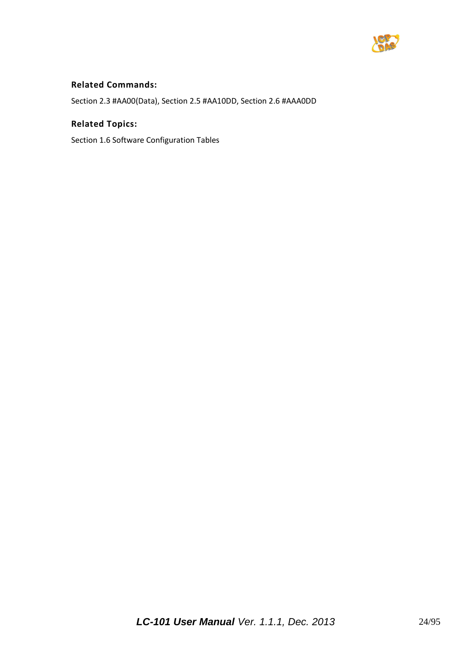

#### **Related Commands:**

Section 2.3 #AA00(Data), Section 2.5 #AA10DD, Section 2.6 #AAA0DD

#### **Related Topics:**

Section 1.6 Software Configuration Tables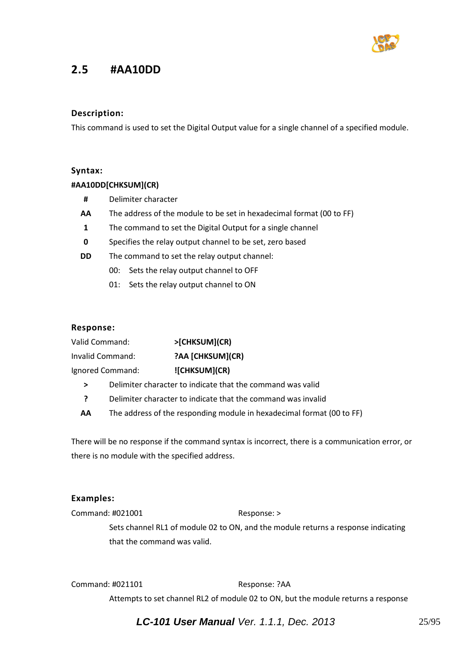

### **2.5 #AA10DD**

#### **Description:**

This command is used to set the Digital Output value for a single channel of a specified module.

#### **Syntax:**

#### **#AA10DD[CHKSUM](CR)**

- **#** Delimiter character
- **AA** The address of the module to be set in hexadecimal format (00 to FF)
- **1** The command to set the Digital Output for a single channel
- **0** Specifies the relay output channel to be set, zero based
- **DD** The command to set the relay output channel:
	- 00: Sets the relay output channel to OFF
	- 01: Sets the relay output channel to ON

#### **Response:**

| Valid Command:   | >[CHKSUM](CR)    |
|------------------|------------------|
| Invalid Command: | ?AA [CHKSUM](CR) |
| Ignored Command: | ![CHKSUM](CR)    |

- **>** Delimiter character to indicate that the command was valid
- **?** Delimiter character to indicate that the command was invalid
- **AA** The address of the responding module in hexadecimal format (00 to FF)

There will be no response if the command syntax is incorrect, there is a communication error, or there is no module with the specified address.

#### **Examples:**

Command: #021001 Response: >

 Sets channel RL1 of module 02 to ON, and the module returns a response indicating that the command was valid.

Command: #021101 Response: ?AA

Attempts to set channel RL2 of module 02 to ON, but the module returns a response

**LC-101 User Manual** Ver. 1.1.1, Dec. 2013 25/95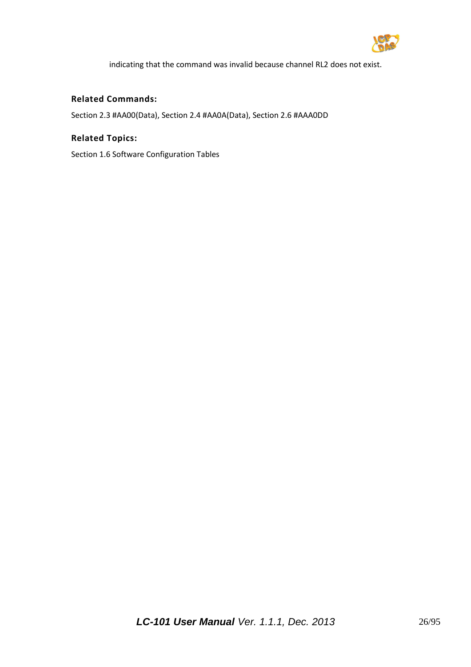

indicating that the command was invalid because channel RL2 does not exist.

#### **Related Commands:**

Section 2.3 #AA00(Data), Section 2.4 #AA0A(Data), Section 2.6 #AAA0DD

#### **Related Topics:**

Section 1.6 Software Configuration Tables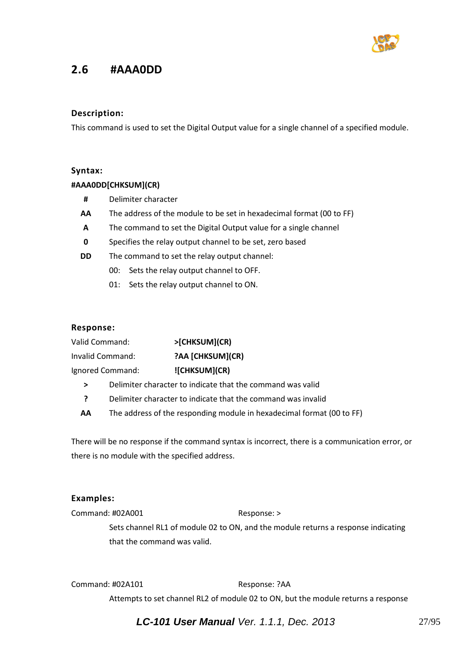

### **2.6 #AAA0DD**

#### **Description:**

This command is used to set the Digital Output value for a single channel of a specified module.

#### **Syntax:**

#### **#AAA0DD[CHKSUM](CR)**

- **#** Delimiter character
- **AA** The address of the module to be set in hexadecimal format (00 to FF)
- **A** The command to set the Digital Output value for a single channel
- **0** Specifies the relay output channel to be set, zero based
- **DD** The command to set the relay output channel:
	- 00: Sets the relay output channel to OFF.
	- 01: Sets the relay output channel to ON.

#### **Response:**

| Valid Command:   | >[CHKSUM](CR)    |
|------------------|------------------|
| Invalid Command: | ?AA [CHKSUM](CR) |
| Ignored Command: | ![CHKSUM](CR)    |

- **>** Delimiter character to indicate that the command was valid
- **?** Delimiter character to indicate that the command was invalid
- **AA** The address of the responding module in hexadecimal format (00 to FF)

There will be no response if the command syntax is incorrect, there is a communication error, or there is no module with the specified address.

#### **Examples:**

Command: #02A001 Response: >

 Sets channel RL1 of module 02 to ON, and the module returns a response indicating that the command was valid.

Command: #02A101 Response: ?AA

Attempts to set channel RL2 of module 02 to ON, but the module returns a response

**LC-101 User Manual** Ver. 1.1.1, Dec. 2013 27/95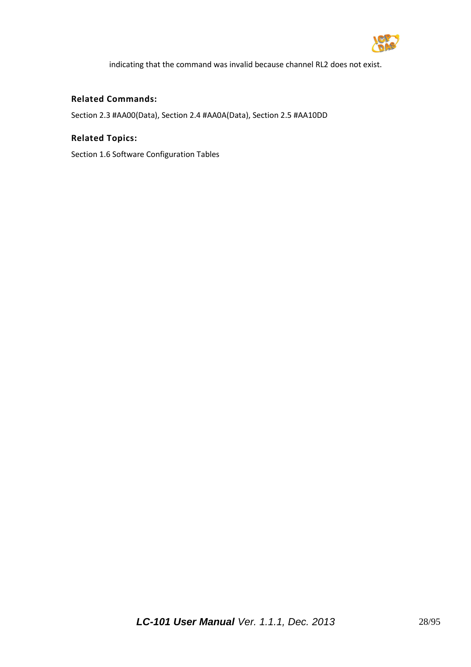

indicating that the command was invalid because channel RL2 does not exist.

#### **Related Commands:**

Section 2.3 #AA00(Data), Section 2.4 #AA0A(Data), Section 2.5 #AA10DD

#### **Related Topics:**

Section 1.6 Software Configuration Tables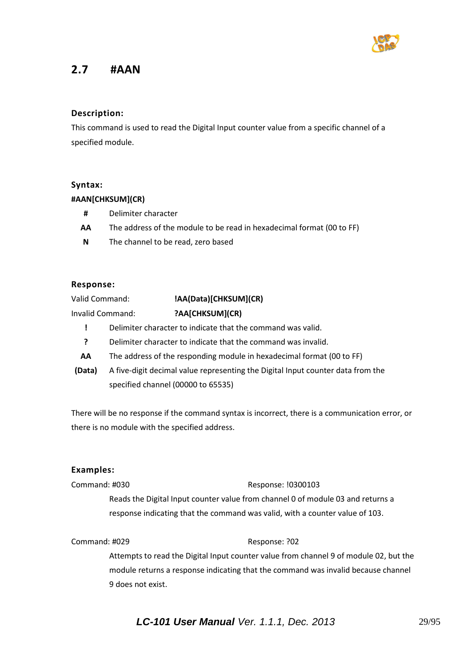

### **2.7 #AAN**

#### **Description:**

This command is used to read the Digital Input counter value from a specific channel of a specified module.

#### **Syntax:**

#### **#AAN[CHKSUM](CR)**

- **#** Delimiter character
- **AA** The address of the module to be read in hexadecimal format (00 to FF)
- **N** The channel to be read, zero based

#### **Response:**

Valid Command: **!AA(Data)[CHKSUM](CR)**  Invalid Command: **?AA[CHKSUM](CR)** 

- **!** Delimiter character to indicate that the command was valid.
- **?** Delimiter character to indicate that the command was invalid.
- **AA** The address of the responding module in hexadecimal format (00 to FF)
- **(Data)** A five-digit decimal value representing the Digital Input counter data from the specified channel (00000 to 65535)

There will be no response if the command syntax is incorrect, there is a communication error, or there is no module with the specified address.

#### **Examples:**

9 does not exist.

Command: #030 **Response: !0300103** 

 Reads the Digital Input counter value from channel 0 of module 03 and returns a response indicating that the command was valid, with a counter value of 103.

Command: #029 Response: ?02 Attempts to read the Digital Input counter value from channel 9 of module 02, but the module returns a response indicating that the command was invalid because channel

### **LC-101 User Manual** Ver. 1.1.1, Dec. 2013 29/95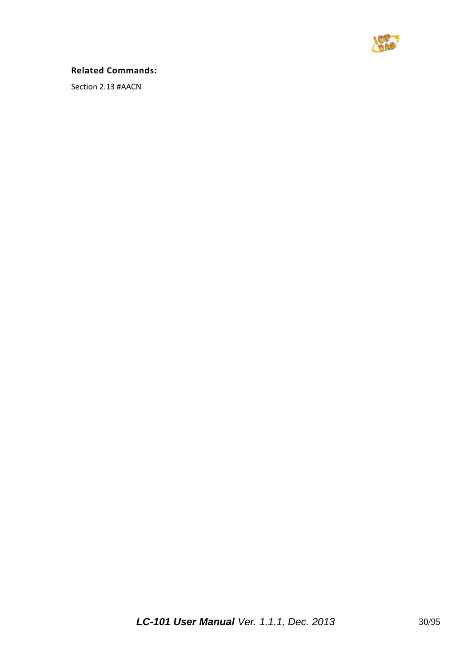

#### **Related Commands:**

Section 2.13 #AACN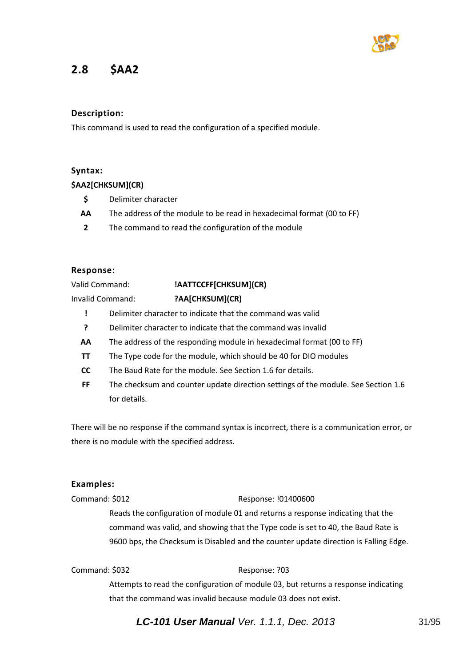

### **2.8 \$AA2**

#### **Description:**

This command is used to read the configuration of a specified module.

#### **Syntax:**

#### **\$AA2[CHKSUM](CR)**

- **\$** Delimiter character
- **AA** The address of the module to be read in hexadecimal format (00 to FF)
- **2** The command to read the configuration of the module

#### **Response:**

| Valid Command: |                  | !AATTCCFF[CHKSUM](CR)                                                             |
|----------------|------------------|-----------------------------------------------------------------------------------|
|                | Invalid Command: | ?AA[CHKSUM](CR)                                                                   |
|                |                  | Delimiter character to indicate that the command was valid                        |
| ?              |                  | Delimiter character to indicate that the command was invalid                      |
| AA             |                  | The address of the responding module in hexadecimal format (00 to FF)             |
| TΤ             |                  | The Type code for the module, which should be 40 for DIO modules                  |
| <b>CC</b>      |                  | The Baud Rate for the module. See Section 1.6 for details.                        |
| <b>FF</b>      |                  | The checksum and counter update direction settings of the module. See Section 1.6 |
|                | for details.     |                                                                                   |

There will be no response if the command syntax is incorrect, there is a communication error, or there is no module with the specified address.

#### **Examples:**

Command: \$012 Response: !01400600 Reads the configuration of module 01 and returns a response indicating that the command was valid, and showing that the Type code is set to 40, the Baud Rate is 9600 bps, the Checksum is Disabled and the counter update direction is Falling Edge.

Command: \$032 Response: ?03

 Attempts to read the configuration of module 03, but returns a response indicating that the command was invalid because module 03 does not exist.

### **LC-101 User Manual** Ver. 1.1.1, Dec. 2013 31/95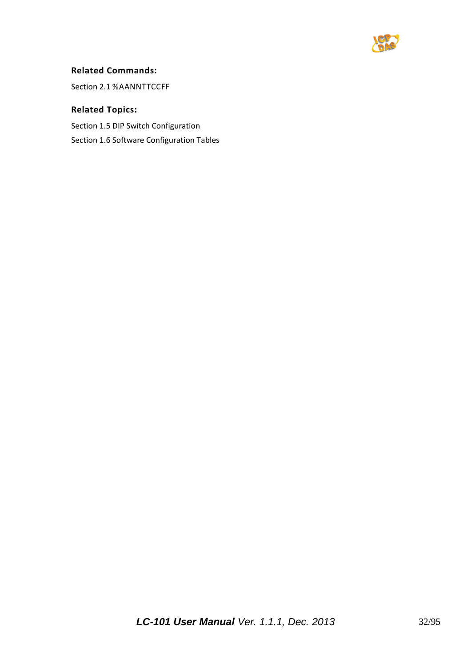

#### **Related Commands:**

Section 2.1 %AANNTTCCFF

### **Related Topics:**

Section 1.5 DIP Switch Configuration Section 1.6 Software Configuration Tables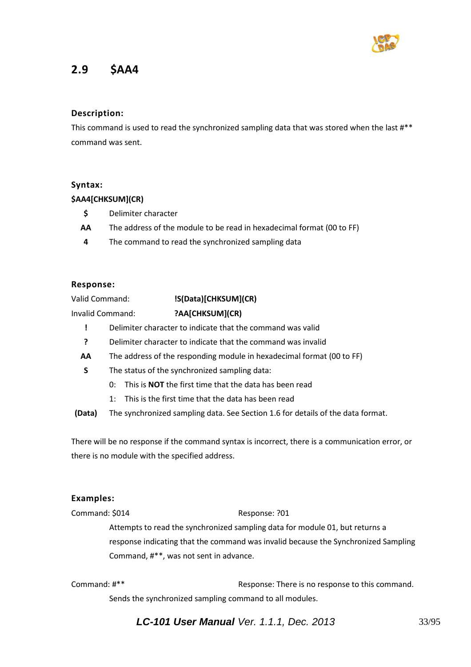

### **2.9 \$AA4**

#### **Description:**

This command is used to read the synchronized sampling data that was stored when the last #\*\* command was sent.

#### **Syntax:**

#### **\$AA4[CHKSUM](CR)**

- **\$** Delimiter character
- **AA** The address of the module to be read in hexadecimal format (00 to FF)
- **4** The command to read the synchronized sampling data

#### **Response:**

Valid Command: **!S(Data)[CHKSUM](CR)**  Invalid Command: **?AA[CHKSUM](CR) !** Delimiter character to indicate that the command was valid **?** Delimiter character to indicate that the command was invalid **AA** The address of the responding module in hexadecimal format (00 to FF) **S** The status of the synchronized sampling data: 0: This is **NOT** the first time that the data has been read

- 1: This is the first time that the data has been read
- **(Data)** The synchronized sampling data. See Section 1.6 for details of the data format.

There will be no response if the command syntax is incorrect, there is a communication error, or there is no module with the specified address.

#### **Examples:**

Command: \$014 Response: ?01

 Attempts to read the synchronized sampling data for module 01, but returns a response indicating that the command was invalid because the Synchronized Sampling Command, #\*\*, was not sent in advance.

Command: #\*\* Response: There is no response to this command. Sends the synchronized sampling command to all modules.

#### **LC-101 User Manual** Ver. 1.1.1, Dec. 2013 33/95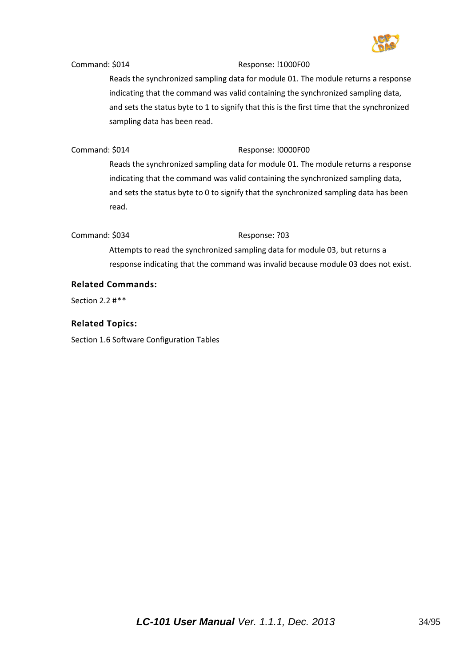

#### Command: \$014 Response: !1000F00

 Reads the synchronized sampling data for module 01. The module returns a response indicating that the command was valid containing the synchronized sampling data, and sets the status byte to 1 to signify that this is the first time that the synchronized sampling data has been read.

#### Command: \$014 Response: !0000F00

 Reads the synchronized sampling data for module 01. The module returns a response indicating that the command was valid containing the synchronized sampling data, and sets the status byte to 0 to signify that the synchronized sampling data has been read.

#### Command: \$034 Response: ?03

 Attempts to read the synchronized sampling data for module 03, but returns a response indicating that the command was invalid because module 03 does not exist.

#### **Related Commands:**

Section 2.2 #\*\*

#### **Related Topics:**

Section 1.6 Software Configuration Tables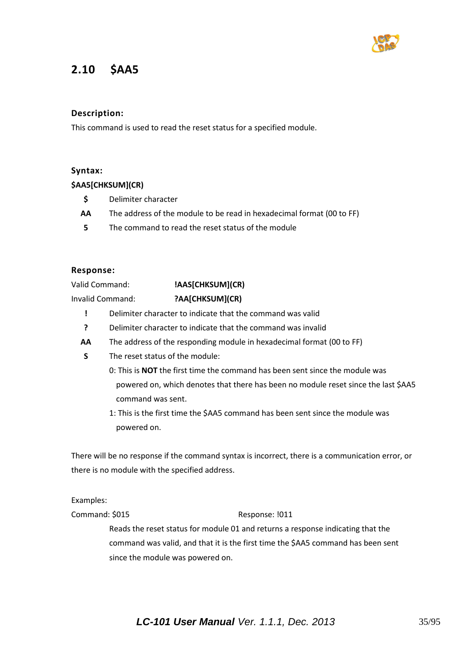

### **2.10 \$AA5**

#### **Description:**

This command is used to read the reset status for a specified module.

#### **Syntax:**

#### **\$AA5[CHKSUM](CR)**

- **\$** Delimiter character
- **AA** The address of the module to be read in hexadecimal format (00 to FF)
- **5** The command to read the reset status of the module

#### **Response:**

| Valid Command:   |                                                                       | !AAS[CHKSUM](CR)                                                                    |
|------------------|-----------------------------------------------------------------------|-------------------------------------------------------------------------------------|
| Invalid Command: |                                                                       | ?AA[CHKSUM](CR)                                                                     |
|                  | Delimiter character to indicate that the command was valid            |                                                                                     |
| ?                | Delimiter character to indicate that the command was invalid          |                                                                                     |
| <b>AA</b>        | The address of the responding module in hexadecimal format (00 to FF) |                                                                                     |
| S                | The reset status of the module:                                       |                                                                                     |
|                  |                                                                       | 0: This is <b>NOT</b> the first time the command has been sent since the module was |
|                  |                                                                       | powered on, which denotes that there has been no module reset since the last \$AA5  |
|                  | command was sent.                                                     |                                                                                     |
|                  |                                                                       | 1. This is the first time the $CATE$ command has been sent since the module was     |

1: This is the first time the \$AA5 command has been sent since the module was powered on.

There will be no response if the command syntax is incorrect, there is a communication error, or there is no module with the specified address.

Examples:

Command: \$015 Response: !011

 Reads the reset status for module 01 and returns a response indicating that the command was valid, and that it is the first time the \$AA5 command has been sent since the module was powered on.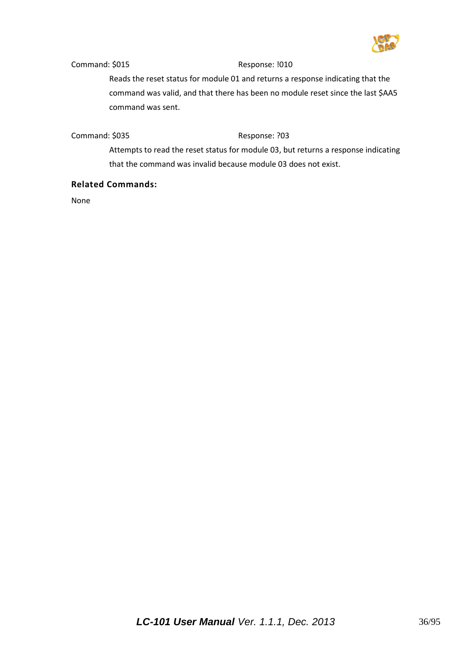

#### Command: \$015 Response: !010

 Reads the reset status for module 01 and returns a response indicating that the command was valid, and that there has been no module reset since the last \$AA5 command was sent.

#### Command: \$035 Response: ?03

 Attempts to read the reset status for module 03, but returns a response indicating that the command was invalid because module 03 does not exist.

#### **Related Commands:**

None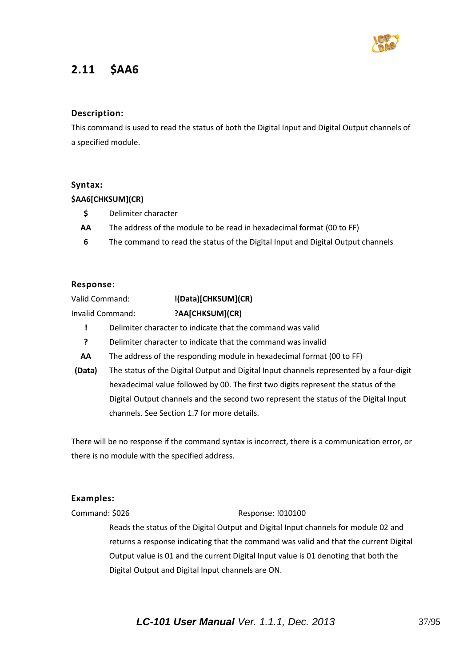

## **2.11 \$AA6**

#### **Description:**

This command is used to read the status of both the Digital Input and Digital Output channels of a specified module.

#### **Syntax:**

#### **\$AA6[CHKSUM](CR)**

- **\$** Delimiter character
- **AA** The address of the module to be read in hexadecimal format (00 to FF)
- **6** The command to read the status of the Digital Input and Digital Output channels

#### **Response:**

Valid Command: **!(Data)[CHKSUM](CR)**  Invalid Command: **?AA[CHKSUM](CR)** 

- **!** Delimiter character to indicate that the command was valid
- **?** Delimiter character to indicate that the command was invalid
- **AA** The address of the responding module in hexadecimal format (00 to FF)
- **(Data)** The status of the Digital Output and Digital Input channels represented by a four-digit hexadecimal value followed by 00. The first two digits represent the status of the Digital Output channels and the second two represent the status of the Digital Input channels. See Section 1.7 for more details.

There will be no response if the command syntax is incorrect, there is a communication error, or there is no module with the specified address.

#### **Examples:**

Command: \$026 Response: !010100

 Reads the status of the Digital Output and Digital Input channels for module 02 and returns a response indicating that the command was valid and that the current Digital Output value is 01 and the current Digital Input value is 01 denoting that both the Digital Output and Digital Input channels are ON.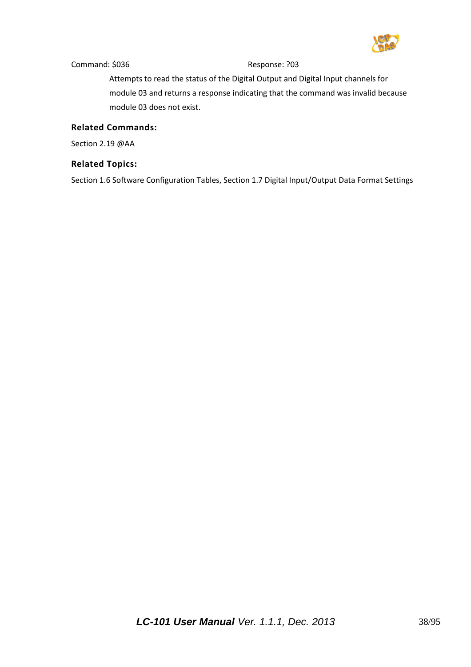

#### Command: \$036 Response: ?03

 Attempts to read the status of the Digital Output and Digital Input channels for module 03 and returns a response indicating that the command was invalid because module 03 does not exist.

#### **Related Commands:**

Section 2.19 @AA

#### **Related Topics:**

Section 1.6 Software Configuration Tables, Section 1.7 Digital Input/Output Data Format Settings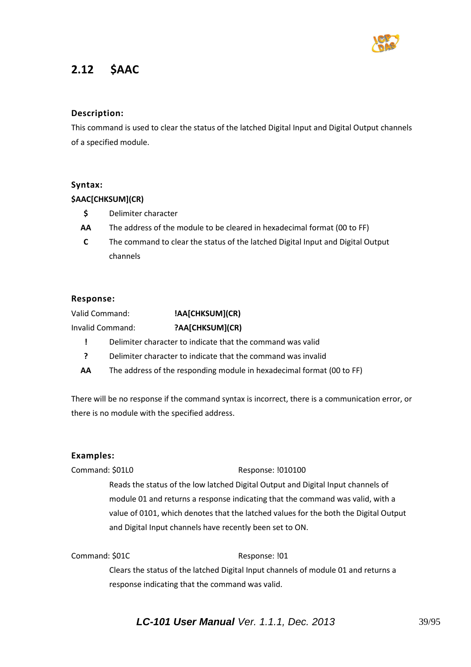

## **2.12 \$AAC**

#### **Description:**

This command is used to clear the status of the latched Digital Input and Digital Output channels of a specified module.

#### **Syntax:**

#### **\$AAC[CHKSUM](CR)**

- **\$** Delimiter character
- **AA** The address of the module to be cleared in hexadecimal format (00 to FF)
- **C** The command to clear the status of the latched Digital Input and Digital Output channels

#### **Response:**

| Valid Command:<br>Invalid Command: |                                                              | !AA[CHKSUM](CR)                                                       |
|------------------------------------|--------------------------------------------------------------|-----------------------------------------------------------------------|
|                                    |                                                              | ?AA[CHKSUM](CR)                                                       |
|                                    | Delimiter character to indicate that the command was valid   |                                                                       |
| 2                                  | Delimiter character to indicate that the command was invalid |                                                                       |
| AA                                 |                                                              | The address of the responding module in hexadecimal format (00 to FF) |

There will be no response if the command syntax is incorrect, there is a communication error, or there is no module with the specified address.

#### **Examples:**

Command: \$01L0 Response: !010100 Reads the status of the low latched Digital Output and Digital Input channels of module 01 and returns a response indicating that the command was valid, with a value of 0101, which denotes that the latched values for the both the Digital Output and Digital Input channels have recently been set to ON.

Command: \$01C Response: !01 Clears the status of the latched Digital Input channels of module 01 and returns a response indicating that the command was valid.

### **LC-101 User Manual** Ver. 1.1.1, Dec. 2013 39/95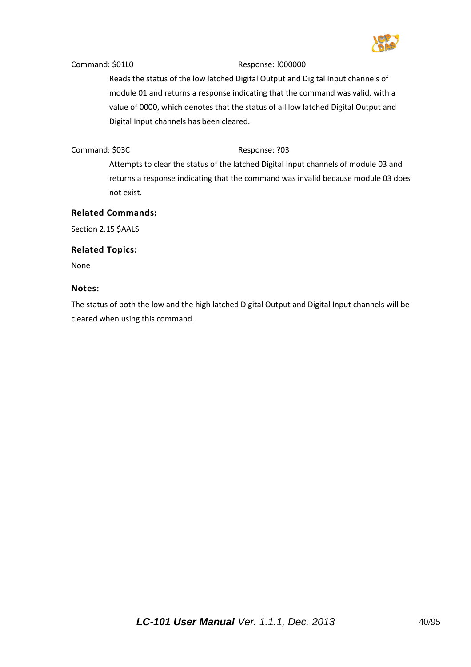

#### Command: \$01L0 Response: !000000

 Reads the status of the low latched Digital Output and Digital Input channels of module 01 and returns a response indicating that the command was valid, with a value of 0000, which denotes that the status of all low latched Digital Output and Digital Input channels has been cleared.

#### Command: \$03C Response: ?03

 Attempts to clear the status of the latched Digital Input channels of module 03 and returns a response indicating that the command was invalid because module 03 does not exist.

#### **Related Commands:**

Section 2.15 \$AALS

#### **Related Topics:**

None

#### **Notes:**

The status of both the low and the high latched Digital Output and Digital Input channels will be cleared when using this command.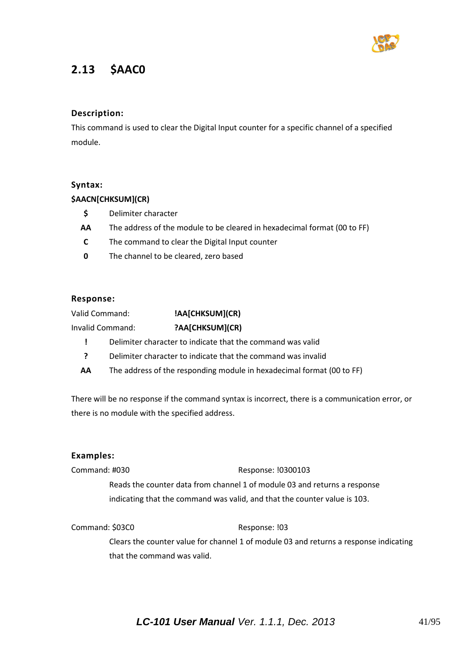

## **2.13 \$AAC0**

#### **Description:**

This command is used to clear the Digital Input counter for a specific channel of a specified module.

#### **Syntax:**

#### **\$AACN[CHKSUM](CR)**

- **\$** Delimiter character
- **AA** The address of the module to be cleared in hexadecimal format (00 to FF)
- **C** The command to clear the Digital Input counter
- **0** The channel to be cleared, zero based

#### **Response:**

| Valid Command:   |                                                            | !AA[CHKSUM](CR)                                              |
|------------------|------------------------------------------------------------|--------------------------------------------------------------|
| Invalid Command: |                                                            | ?AA[CHKSUM](CR)                                              |
| $\mathbf{L}$     | Delimiter character to indicate that the command was valid |                                                              |
| Ρ.               |                                                            | Delimiter character to indicate that the command was invalid |

**AA** The address of the responding module in hexadecimal format (00 to FF)

There will be no response if the command syntax is incorrect, there is a communication error, or there is no module with the specified address.

#### **Examples:**

| Command: #030 |  |  | Response: !0300103 |  |   |  |  |
|---------------|--|--|--------------------|--|---|--|--|
|               |  |  |                    |  | . |  |  |

 Reads the counter data from channel 1 of module 03 and returns a response indicating that the command was valid, and that the counter value is 103.

Command: \$03C0 Response: !03 Clears the counter value for channel 1 of module 03 and returns a response indicating that the command was valid.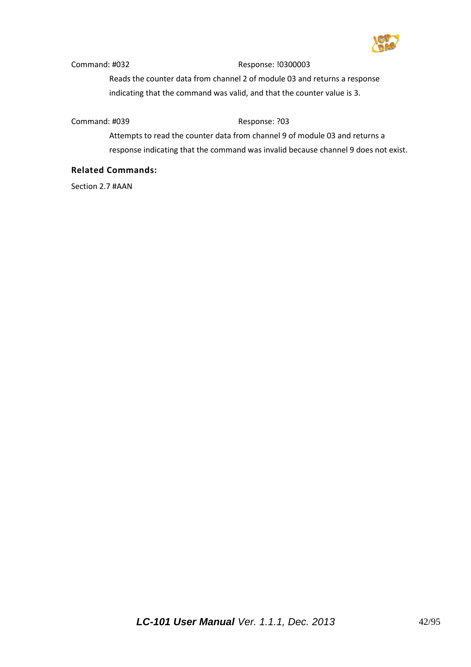

#### Command: #032 Response: !0300003

 Reads the counter data from channel 2 of module 03 and returns a response indicating that the command was valid, and that the counter value is 3.

#### Command: #039 Response: ?03

 Attempts to read the counter data from channel 9 of module 03 and returns a response indicating that the command was invalid because channel 9 does not exist.

### **Related Commands:**

Section 2.7 #AAN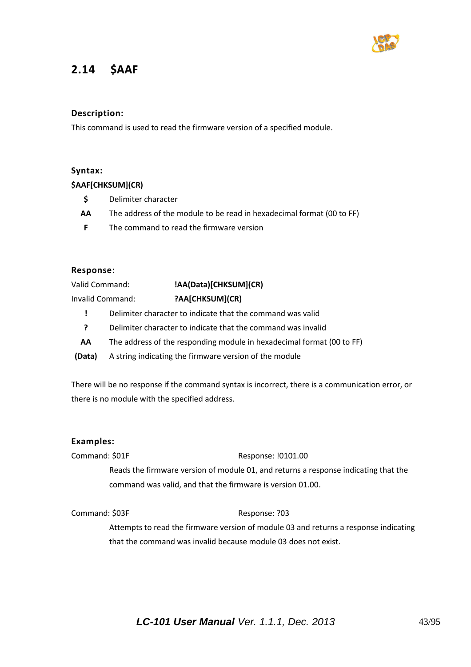

## **2.14 \$AAF**

#### **Description:**

This command is used to read the firmware version of a specified module.

#### **Syntax:**

#### **\$AAF[CHKSUM](CR)**

- **\$** Delimiter character
- **AA** The address of the module to be read in hexadecimal format (00 to FF)
- **F** The command to read the firmware version

#### **Response:**

| Valid Command:   |                                                              | !AA(Data)[CHKSUM](CR)                                                 |
|------------------|--------------------------------------------------------------|-----------------------------------------------------------------------|
| Invalid Command: |                                                              | ?AA[CHKSUM](CR)                                                       |
|                  |                                                              | Delimiter character to indicate that the command was valid            |
| ?                | Delimiter character to indicate that the command was invalid |                                                                       |
| AA               |                                                              | The address of the responding module in hexadecimal format (00 to FF) |
| (Data)           |                                                              | A string indicating the firmware version of the module                |

There will be no response if the command syntax is incorrect, there is a communication error, or there is no module with the specified address.

#### **Examples:**

Response: !0101.00

 Reads the firmware version of module 01, and returns a response indicating that the command was valid, and that the firmware is version 01.00.

Command: \$03F Response: ?03 Attempts to read the firmware version of module 03 and returns a response indicating that the command was invalid because module 03 does not exist.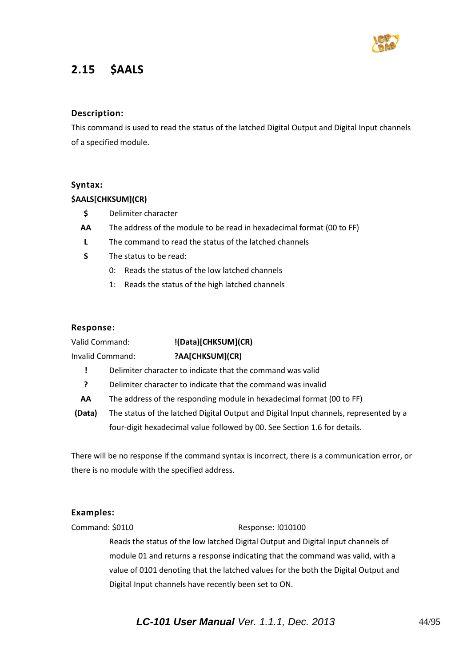

## **2.15 \$AALS**

#### **Description:**

This command is used to read the status of the latched Digital Output and Digital Input channels of a specified module.

#### **Syntax:**

#### **\$AALS[CHKSUM](CR)**

- **\$** Delimiter character
- **AA** The address of the module to be read in hexadecimal format (00 to FF)
- **L** The command to read the status of the latched channels
- **S** The status to be read:
	- 0: Reads the status of the low latched channels
	- 1: Reads the status of the high latched channels

#### **Response:**

| Valid Command:   |                                                              | !(Data)[CHKSUM](CR)                                                   |  |
|------------------|--------------------------------------------------------------|-----------------------------------------------------------------------|--|
| Invalid Command: |                                                              | ?AA[CHKSUM](CR)                                                       |  |
|                  | Delimiter character to indicate that the command was valid   |                                                                       |  |
| 2                | Delimiter character to indicate that the command was invalid |                                                                       |  |
| AA               |                                                              | The address of the responding module in hexadecimal format (00 to FF) |  |

**(Data)** The status of the latched Digital Output and Digital Input channels, represented by a four-digit hexadecimal value followed by 00. See Section 1.6 for details.

There will be no response if the command syntax is incorrect, there is a communication error, or there is no module with the specified address.

#### **Examples:**

Command: \$01L0 Response: !010100

 Reads the status of the low latched Digital Output and Digital Input channels of module 01 and returns a response indicating that the command was valid, with a value of 0101 denoting that the latched values for the both the Digital Output and Digital Input channels have recently been set to ON.

### **LC-101 User Manual** Ver. 1.1.1, Dec. 2013 44/95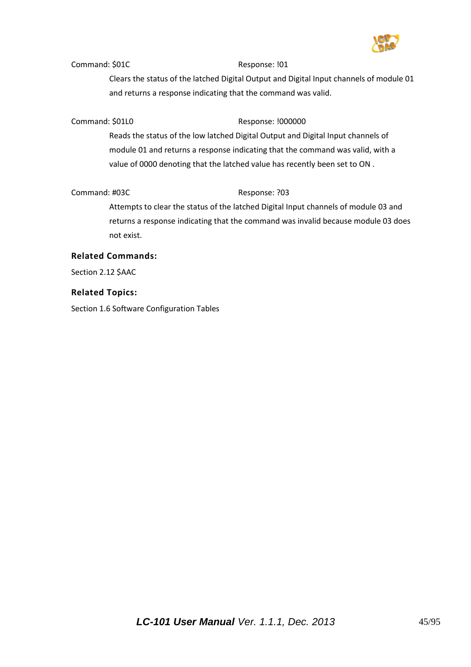

#### Command: \$01C Response: !01

 Clears the status of the latched Digital Output and Digital Input channels of module 01 and returns a response indicating that the command was valid.

#### Command: \$01L0 Response: !000000

 Reads the status of the low latched Digital Output and Digital Input channels of module 01 and returns a response indicating that the command was valid, with a value of 0000 denoting that the latched value has recently been set to ON .

#### Command: #03C Response: ?03

 Attempts to clear the status of the latched Digital Input channels of module 03 and returns a response indicating that the command was invalid because module 03 does not exist.

#### **Related Commands:**

Section 2.12 \$AAC

#### **Related Topics:**

Section 1.6 Software Configuration Tables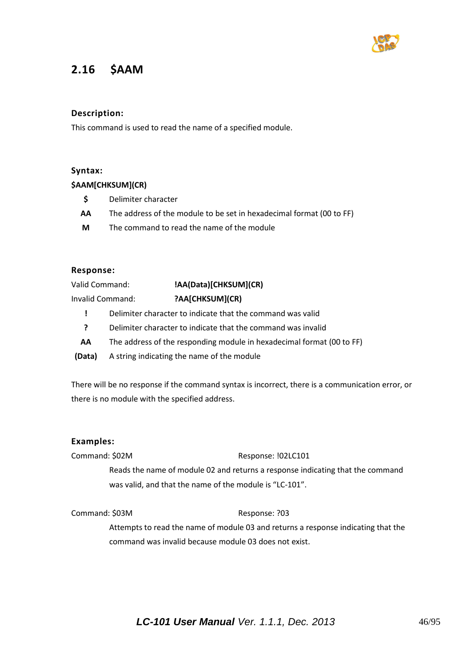

## **2.16 \$AAM**

#### **Description:**

This command is used to read the name of a specified module.

#### **Syntax:**

#### **\$AAM[CHKSUM](CR)**

- **\$** Delimiter character
- **AA** The address of the module to be set in hexadecimal format (00 to FF)
- **M** The command to read the name of the module

#### **Response:**

| Valid Command:   |                                                              | !AA(Data)[CHKSUM](CR)                                                 |  |
|------------------|--------------------------------------------------------------|-----------------------------------------------------------------------|--|
| Invalid Command: |                                                              | ?AA[CHKSUM](CR)                                                       |  |
|                  |                                                              | Delimiter character to indicate that the command was valid            |  |
| ?                | Delimiter character to indicate that the command was invalid |                                                                       |  |
| AA               |                                                              | The address of the responding module in hexadecimal format (00 to FF) |  |
| (Data)           |                                                              | A string indicating the name of the module                            |  |

There will be no response if the command syntax is incorrect, there is a communication error, or there is no module with the specified address.

#### **Examples:**

| Command: \$02M |  |
|----------------|--|
|                |  |

Response: !02LC101

 Reads the name of module 02 and returns a response indicating that the command was valid, and that the name of the module is "LC-101".

Command: \$03M Response: ?03 Attempts to read the name of module 03 and returns a response indicating that the command was invalid because module 03 does not exist.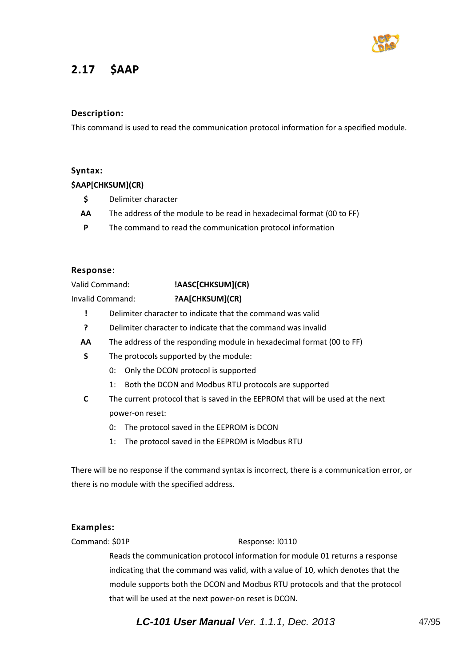

## **2.17 \$AAP**

#### **Description:**

This command is used to read the communication protocol information for a specified module.

#### **Syntax:**

#### **\$AAP[CHKSUM](CR)**

- **\$** Delimiter character
- **AA** The address of the module to be read in hexadecimal format (00 to FF)
- **P** The command to read the communication protocol information

#### **Response:**

| Valid Command:   |                                                                       | !AASC[CHKSUM](CR)                                                              |  |
|------------------|-----------------------------------------------------------------------|--------------------------------------------------------------------------------|--|
| Invalid Command: |                                                                       | ?AA[CHKSUM](CR)                                                                |  |
|                  |                                                                       | Delimiter character to indicate that the command was valid                     |  |
| ?                | Delimiter character to indicate that the command was invalid          |                                                                                |  |
| <b>AA</b>        | The address of the responding module in hexadecimal format (00 to FF) |                                                                                |  |
| S                | The protocols supported by the module:                                |                                                                                |  |
|                  | 0:                                                                    | Only the DCON protocol is supported                                            |  |
|                  | 1:                                                                    | Both the DCON and Modbus RTU protocols are supported                           |  |
| C                |                                                                       | The current protocol that is saved in the EEPROM that will be used at the next |  |
|                  | power-on reset:                                                       |                                                                                |  |
|                  | 0:                                                                    | The protocol saved in the EEPROM is DCON                                       |  |
|                  |                                                                       |                                                                                |  |

1: The protocol saved in the EEPROM is Modbus RTU

There will be no response if the command syntax is incorrect, there is a communication error, or there is no module with the specified address.

#### **Examples:**

#### Command: \$01P Response: !0110

 Reads the communication protocol information for module 01 returns a response indicating that the command was valid, with a value of 10, which denotes that the module supports both the DCON and Modbus RTU protocols and that the protocol that will be used at the next power-on reset is DCON.

### **LC-101 User Manual** Ver. 1.1.1, Dec. 2013 47/95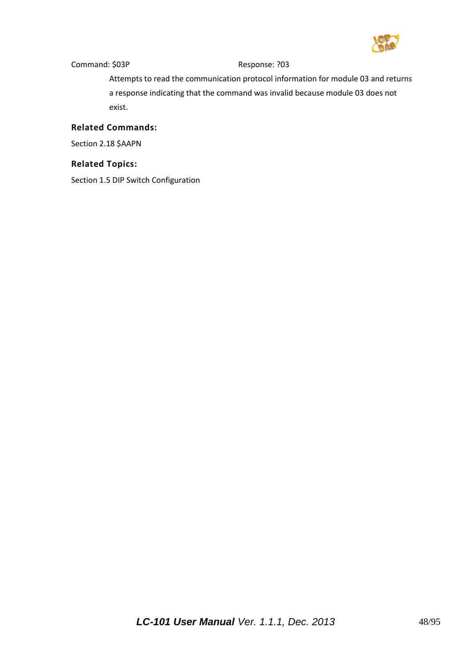

#### Command: \$03P Response: ?03

 Attempts to read the communication protocol information for module 03 and returns a response indicating that the command was invalid because module 03 does not exist.

#### **Related Commands:**

Section 2.18 \$AAPN

#### **Related Topics:**

Section 1.5 DIP Switch Configuration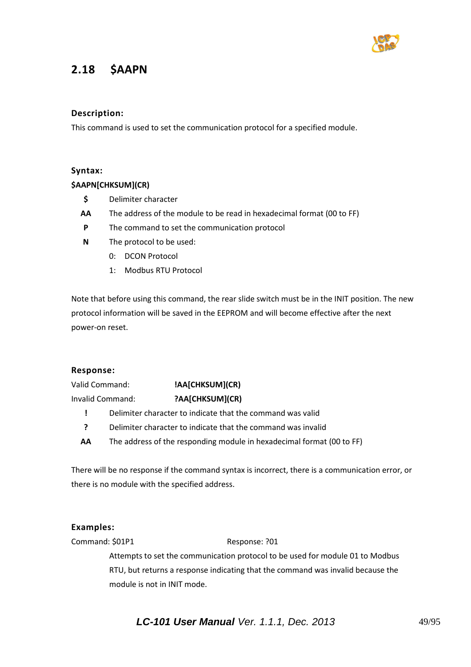

## **2.18 \$AAPN**

#### **Description:**

This command is used to set the communication protocol for a specified module.

#### **Syntax:**

#### **\$AAPN[CHKSUM](CR)**

- **\$** Delimiter character
- **AA** The address of the module to be read in hexadecimal format (00 to FF)
- **P** The command to set the communication protocol
- **N** The protocol to be used:
	- 0: DCON Protocol
	- 1: Modbus RTU Protocol

Note that before using this command, the rear slide switch must be in the INIT position. The new protocol information will be saved in the EEPROM and will become effective after the next power-on reset.

#### **Response:**

| Valid Command:   | !AA[CHKSUM](CR) |
|------------------|-----------------|
| Invalid Command: | ?AA[CHKSUM](CR) |

- **!** Delimiter character to indicate that the command was valid
- **?** Delimiter character to indicate that the command was invalid
- **AA** The address of the responding module in hexadecimal format (00 to FF)

There will be no response if the command syntax is incorrect, there is a communication error, or there is no module with the specified address.

#### **Examples:**

Command: \$01P1 Response: ?01

 Attempts to set the communication protocol to be used for module 01 to Modbus RTU, but returns a response indicating that the command was invalid because the module is not in INIT mode.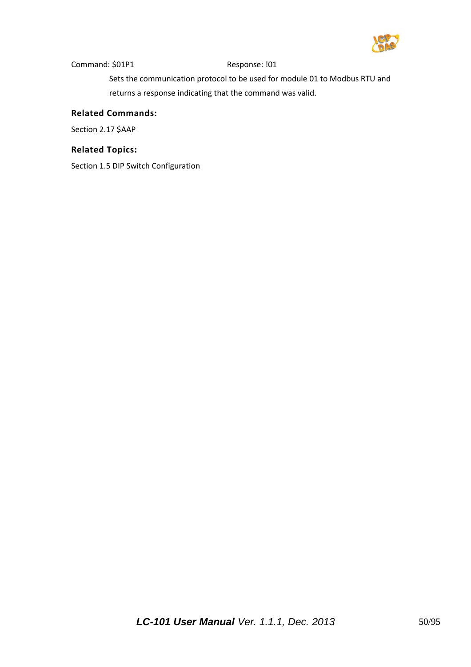

#### Command: \$01P1 Response: !01

 Sets the communication protocol to be used for module 01 to Modbus RTU and returns a response indicating that the command was valid.

#### **Related Commands:**

Section 2.17 \$AAP

#### **Related Topics:**

Section 1.5 DIP Switch Configuration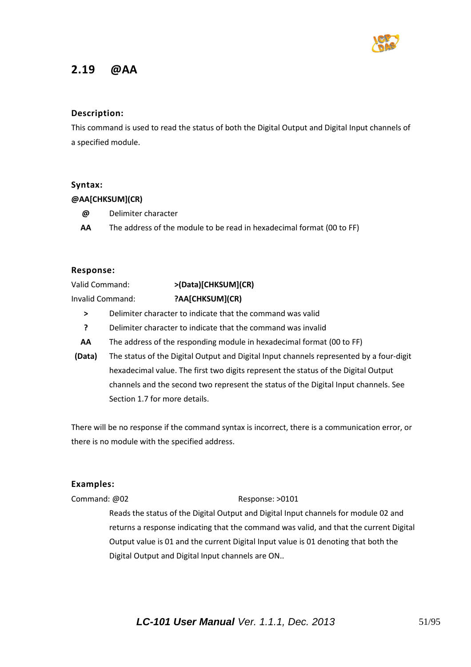

## **2.19 @AA**

#### **Description:**

This command is used to read the status of both the Digital Output and Digital Input channels of a specified module.

#### **Syntax:**

#### **@AA[CHKSUM](CR)**

- **@** Delimiter character
- **AA** The address of the module to be read in hexadecimal format (00 to FF)

#### **Response:**

| Valid Command:<br>Invalid Command: |                                                              | >(Data)[CHKSUM](CR)                                                   |  |
|------------------------------------|--------------------------------------------------------------|-----------------------------------------------------------------------|--|
|                                    |                                                              | ?AA[CHKSUM](CR)                                                       |  |
| $\geq$                             | Delimiter character to indicate that the command was valid   |                                                                       |  |
| Ρ.                                 | Delimiter character to indicate that the command was invalid |                                                                       |  |
| AA                                 |                                                              | The address of the responding module in hexadecimal format (00 to FF) |  |

**(Data)** The status of the Digital Output and Digital Input channels represented by a four-digit hexadecimal value. The first two digits represent the status of the Digital Output channels and the second two represent the status of the Digital Input channels. See Section 1.7 for more details.

There will be no response if the command syntax is incorrect, there is a communication error, or there is no module with the specified address.

#### **Examples:**

# Command: @02 Response: >0101 Reads the status of the Digital Output and Digital Input channels for module 02 and

returns a response indicating that the command was valid, and that the current Digital Output value is 01 and the current Digital Input value is 01 denoting that both the Digital Output and Digital Input channels are ON..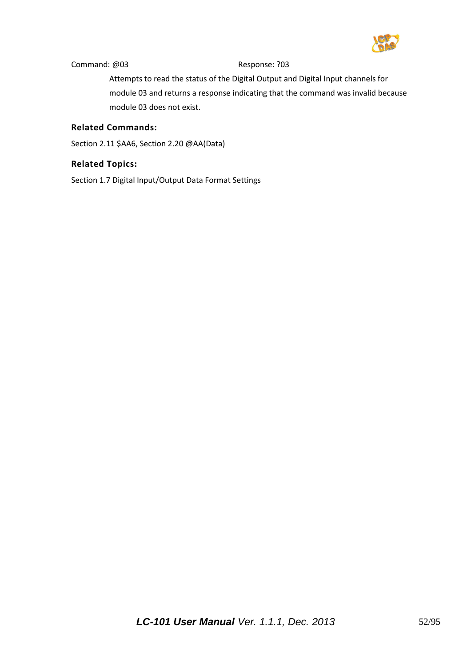

#### Command: @03 Response: ?03

 Attempts to read the status of the Digital Output and Digital Input channels for module 03 and returns a response indicating that the command was invalid because module 03 does not exist.

### **Related Commands:**

Section 2.11 \$AA6, Section 2.20 @AA(Data)

#### **Related Topics:**

Section 1.7 Digital Input/Output Data Format Settings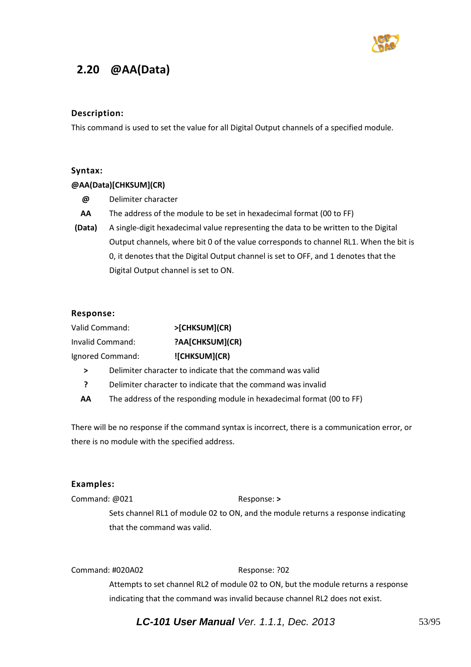

## **2.20 @AA(Data)**

#### **Description:**

This command is used to set the value for all Digital Output channels of a specified module.

#### **Syntax:**

#### **@AA(Data)[CHKSUM](CR)**

- **@** Delimiter character
- **AA** The address of the module to be set in hexadecimal format (00 to FF)
- **(Data)** A single-digit hexadecimal value representing the data to be written to the Digital Output channels, where bit 0 of the value corresponds to channel RL1. When the bit is 0, it denotes that the Digital Output channel is set to OFF, and 1 denotes that the Digital Output channel is set to ON.

#### **Response:**

| Valid Command:   | >[CHKSUM](CR)   |
|------------------|-----------------|
| Invalid Command: | ?AA[CHKSUM](CR) |
| Ignored Command: | ![CHKSUM](CR)   |

- **>** Delimiter character to indicate that the command was valid
- **?** Delimiter character to indicate that the command was invalid
- **AA** The address of the responding module in hexadecimal format (00 to FF)

There will be no response if the command syntax is incorrect, there is a communication error, or there is no module with the specified address.

#### **Examples:**

Command: @021 Response: > Sets channel RL1 of module 02 to ON, and the module returns a response indicating that the command was valid.

Command: #020A02 Response: ?02 Attempts to set channel RL2 of module 02 to ON, but the module returns a response indicating that the command was invalid because channel RL2 does not exist.

#### **LC-101 User Manual** Ver. 1.1.1, Dec. 2013 53/95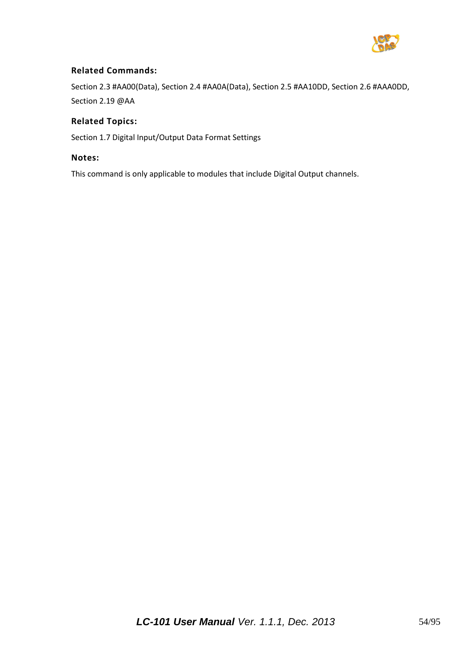

#### **Related Commands:**

Section 2.3 #AA00(Data), Section 2.4 #AA0A(Data), Section 2.5 #AA10DD, Section 2.6 #AAA0DD, Section 2.19 @AA

#### **Related Topics:**

Section 1.7 Digital Input/Output Data Format Settings

#### **Notes:**

This command is only applicable to modules that include Digital Output channels.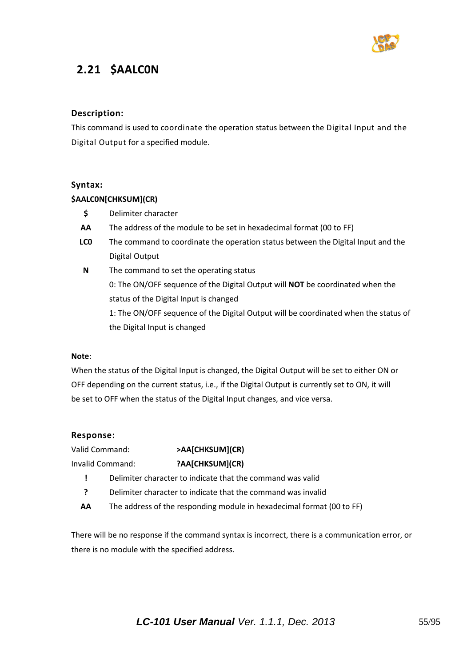

## **2.21 \$AALC0N**

#### **Description:**

This command is used to coordinate the operation status between the Digital Input and the Digital Output for a specified module.

#### **Syntax:**

#### **\$AALC0N[CHKSUM](CR)**

- **\$** Delimiter character
- **AA** The address of the module to be set in hexadecimal format (00 to FF)
- **LC0** The command to coordinate the operation status between the Digital Input and the Digital Output
- **N** The command to set the operating status 0: The ON/OFF sequence of the Digital Output will **NOT** be coordinated when the status of the Digital Input is changed 1: The ON/OFF sequence of the Digital Output will be coordinated when the status of the Digital Input is changed

#### **Note**:

When the status of the Digital Input is changed, the Digital Output will be set to either ON or OFF depending on the current status, i.e., if the Digital Output is currently set to ON, it will be set to OFF when the status of the Digital Input changes, and vice versa.

#### **Response:**

| Valid Command:<br>Invalid Command: |  | >AA[CHKSUM](CR)                                            |
|------------------------------------|--|------------------------------------------------------------|
|                                    |  | ?AA[CHKSUM](CR)                                            |
|                                    |  | Delimiter character to indicate that the command was valid |

- **?** Delimiter character to indicate that the command was invalid
- **AA** The address of the responding module in hexadecimal format (00 to FF)

There will be no response if the command syntax is incorrect, there is a communication error, or there is no module with the specified address.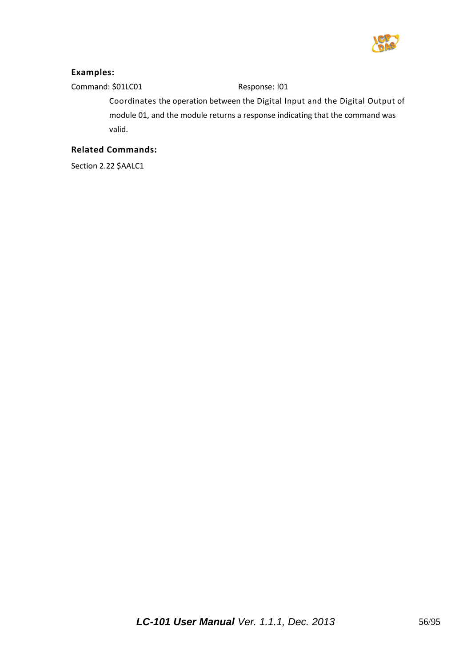

### **Examples:**

Command: \$01LC01 Response: !01

Coordinates the operation between the Digital Input and the Digital Output of module 01, and the module returns a response indicating that the command was valid.

#### **Related Commands:**

Section 2.22 \$AALC1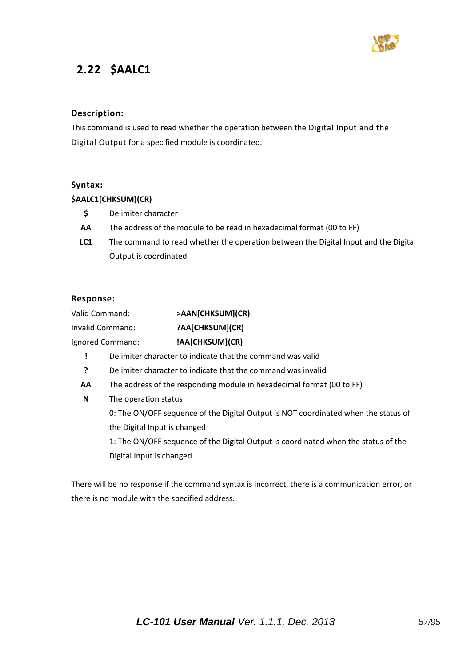

## **2.22 \$AALC1**

#### **Description:**

This command is used to read whether the operation between the Digital Input and the Digital Output for a specified module is coordinated.

#### **Syntax:**

#### **\$AALC1[CHKSUM](CR)**

- **\$** Delimiter character
- **AA** The address of the module to be read in hexadecimal format (00 to FF)
- **LC1** The command to read whether the operation between the Digital Input and the Digital Output is coordinated

#### **Response:**

| Valid Command:   | >AAN[CHKSUM](CR) |
|------------------|------------------|
| Invalid Command: | ?AA[CHKSUM](CR)  |
| Ignored Command: | !AA[CHKSUM](CR)  |

- **!** Delimiter character to indicate that the command was valid
- **?** Delimiter character to indicate that the command was invalid
- **AA** The address of the responding module in hexadecimal format (00 to FF)
- **N** The operation status

0: The ON/OFF sequence of the Digital Output is NOT coordinated when the status of the Digital Input is changed

1: The ON/OFF sequence of the Digital Output is coordinated when the status of the Digital Input is changed

There will be no response if the command syntax is incorrect, there is a communication error, or there is no module with the specified address.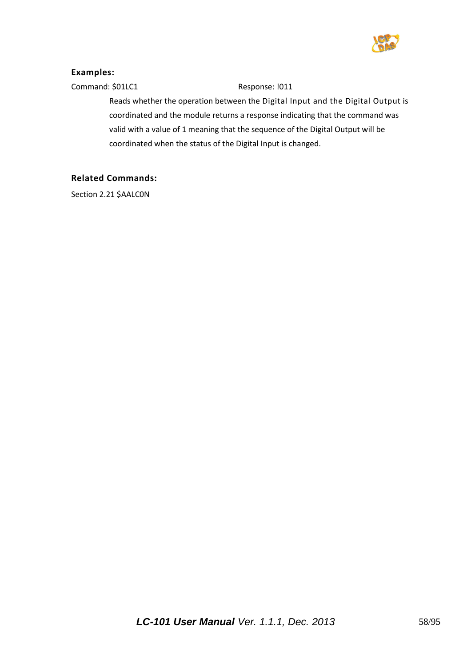

#### **Examples:**

Command: \$01LC1 Response: !011

 Reads whether the operation between the Digital Input and the Digital Output is coordinated and the module returns a response indicating that the command was valid with a value of 1 meaning that the sequence of the Digital Output will be coordinated when the status of the Digital Input is changed.

#### **Related Commands:**

Section 2.21 \$AALC0N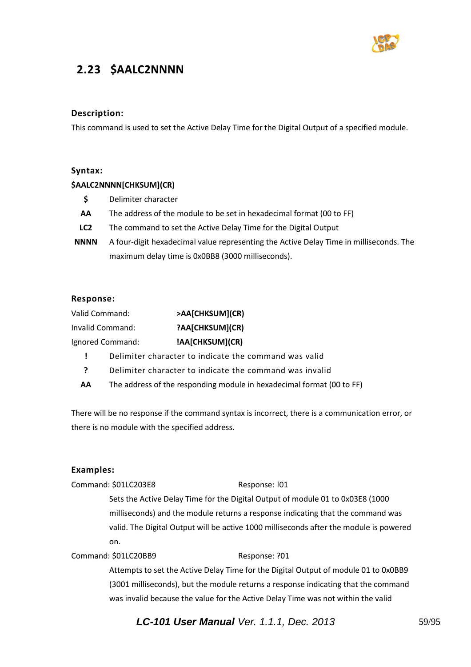

## **2.23 \$AALC2NNNN**

#### **Description:**

This command is used to set the Active Delay Time for the Digital Output of a specified module.

#### **Syntax:**

#### **\$AALC2NNNN[CHKSUM](CR)**

- **\$** Delimiter character
- **AA** The address of the module to be set in hexadecimal format (00 to FF)
- **LC2** The command to set the Active Delay Time for the Digital Output
- **NNNN** A four-digit hexadecimal value representing the Active Delay Time in milliseconds. The maximum delay time is 0x0BB8 (3000 milliseconds).

#### **Response:**

| Valid Command:   | >AA[CHKSUM](CR) |
|------------------|-----------------|
| Invalid Command: | ?AA[CHKSUM](CR) |
| Ignored Command: | !AA[CHKSUM](CR) |

- **!** Delimiter character to indicate the command was valid
- **?** Delimiter character to indicate the command was invalid
- **AA** The address of the responding module in hexadecimal format (00 to FF)

There will be no response if the command syntax is incorrect, there is a communication error, or there is no module with the specified address.

#### **Examples:**

|  | Command: \$01LC203E8                                                                   | Response: !01                                                                       |  |  |  |  |
|--|----------------------------------------------------------------------------------------|-------------------------------------------------------------------------------------|--|--|--|--|
|  |                                                                                        | Sets the Active Delay Time for the Digital Output of module 01 to 0x03E8 (1000      |  |  |  |  |
|  | milliseconds) and the module returns a response indicating that the command was        |                                                                                     |  |  |  |  |
|  | valid. The Digital Output will be active 1000 milliseconds after the module is powered |                                                                                     |  |  |  |  |
|  | on.                                                                                    |                                                                                     |  |  |  |  |
|  | Command: \$01LC20BB9                                                                   | Response: ?01                                                                       |  |  |  |  |
|  |                                                                                        | Attempts to set the Active Delay Time for the Digital Output of module 01 to 0x0BB9 |  |  |  |  |
|  |                                                                                        | (3001 milliseconds), but the module returns a response indicating that the command  |  |  |  |  |

#### **LC-101 User Manual** Ver. 1.1.1, Dec. 2013 59/95

was invalid because the value for the Active Delay Time was not within the valid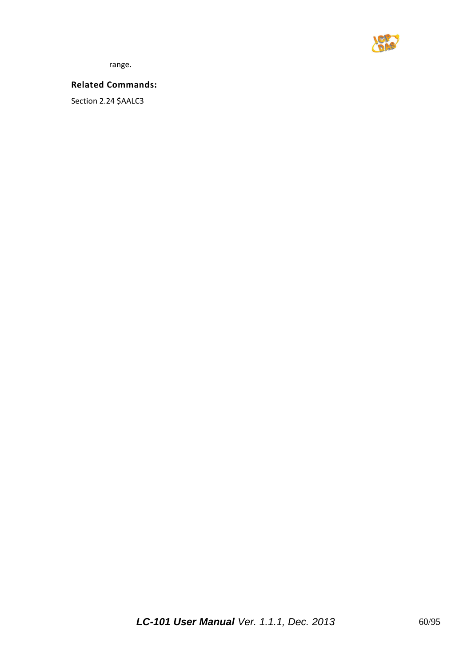

range.

## **Related Commands:**

Section 2.24 \$AALC3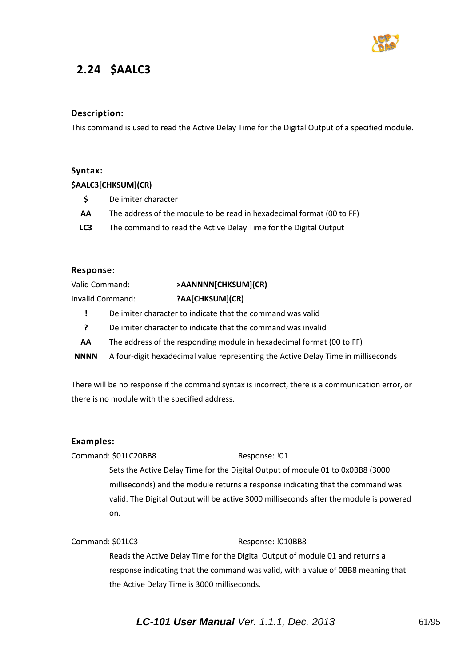

## **2.24 \$AALC3**

#### **Description:**

This command is used to read the Active Delay Time for the Digital Output of a specified module.

#### **Syntax:**

#### **\$AALC3[CHKSUM](CR)**

- **\$** Delimiter character
- **AA** The address of the module to be read in hexadecimal format (00 to FF)
- **LC3** The command to read the Active Delay Time for the Digital Output

#### **Response:**

| Valid Command:   |                                                                                   | >AANNNN[CHKSUM](CR) |  |  |
|------------------|-----------------------------------------------------------------------------------|---------------------|--|--|
| Invalid Command: |                                                                                   | ?AA[CHKSUM](CR)     |  |  |
|                  | Delimiter character to indicate that the command was valid                        |                     |  |  |
| ?                | Delimiter character to indicate that the command was invalid                      |                     |  |  |
| AA               | The address of the responding module in hexadecimal format (00 to FF)             |                     |  |  |
| <b>NNNN</b>      | A four-digit hexadecimal value representing the Active Delay Time in milliseconds |                     |  |  |

There will be no response if the command syntax is incorrect, there is a communication error, or there is no module with the specified address.

#### **Examples:**

| Command: \$01LC20BB8 | Response: !01                                                                          |
|----------------------|----------------------------------------------------------------------------------------|
|                      | Sets the Active Delay Time for the Digital Output of module 01 to 0x0BB8 (3000)        |
|                      | milliseconds) and the module returns a response indicating that the command was        |
|                      | valid. The Digital Output will be active 3000 milliseconds after the module is powered |
| on.                  |                                                                                        |

Command: \$01LC3 Response: !010BB8 Reads the Active Delay Time for the Digital Output of module 01 and returns a response indicating that the command was valid, with a value of 0BB8 meaning that the Active Delay Time is 3000 milliseconds.

### **LC-101 User Manual** Ver. 1.1.1, Dec. 2013 61/95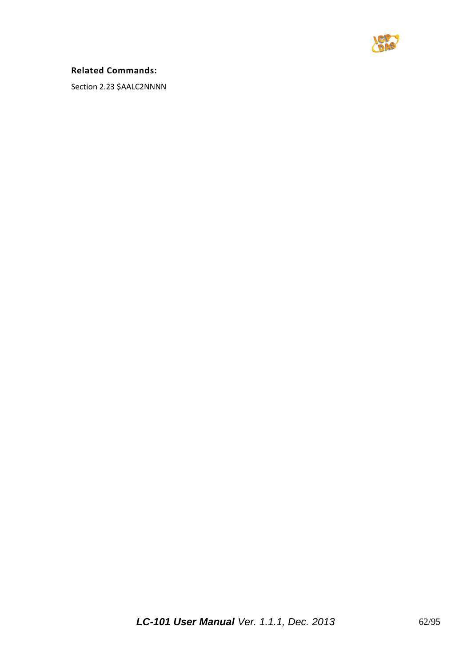

#### **Related Commands:**

Section 2.23 \$AALC2NNNN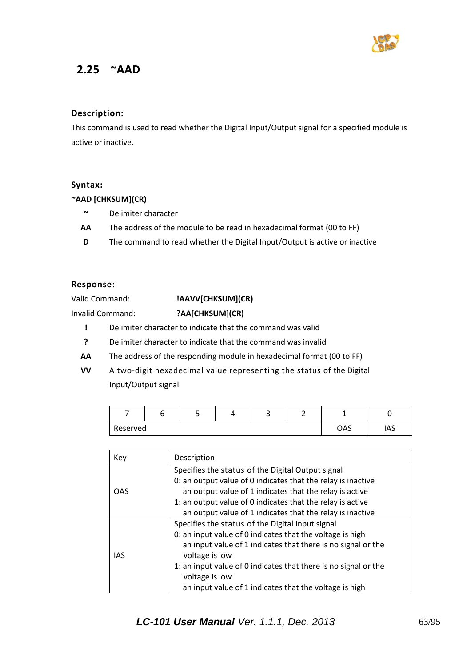

## **2.25 ~AAD**

#### **Description:**

This command is used to read whether the Digital Input/Output signal for a specified module is active or inactive.

#### **Syntax:**

#### **~AAD [CHKSUM](CR)**

- **~** Delimiter character
- **AA** The address of the module to be read in hexadecimal format (00 to FF)
- **D** The command to read whether the Digital Input/Output is active or inactive

#### **Response:**

Valid Command: **!AAVV[CHKSUM](CR)** 

Invalid Command: **?AA[CHKSUM](CR)** 

**!** Delimiter character to indicate that the command was valid

**?** Delimiter character to indicate that the command was invalid

**AA** The address of the responding module in hexadecimal format (00 to FF)

**VV** A two-digit hexadecimal value representing the status of the Digital Input/Output signal

|          |  | . . |  |  | -   | -   |  |
|----------|--|-----|--|--|-----|-----|--|
| Reserved |  |     |  |  | OAS | IAS |  |

| Key        | Description                                                     |
|------------|-----------------------------------------------------------------|
|            | Specifies the status of the Digital Output signal               |
|            | 0: an output value of 0 indicates that the relay is inactive    |
| <b>OAS</b> | an output value of 1 indicates that the relay is active         |
|            | 1: an output value of 0 indicates that the relay is active      |
|            | an output value of 1 indicates that the relay is inactive       |
|            | Specifies the status of the Digital Input signal                |
|            | 0: an input value of 0 indicates that the voltage is high       |
|            | an input value of 1 indicates that there is no signal or the    |
| <b>IAS</b> | voltage is low                                                  |
|            | 1: an input value of 0 indicates that there is no signal or the |
|            | voltage is low                                                  |
|            | an input value of 1 indicates that the voltage is high          |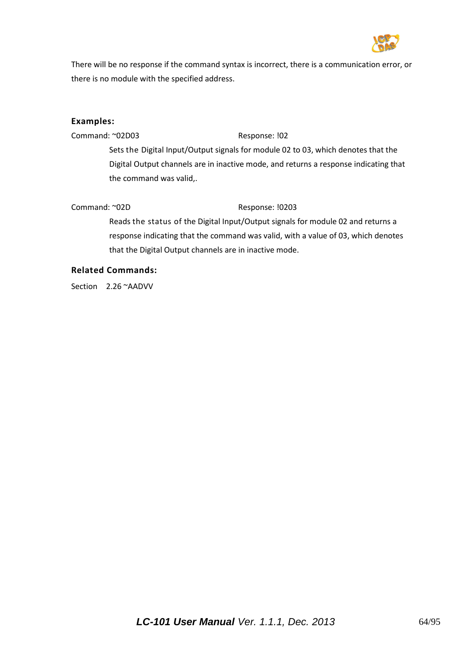

There will be no response if the command syntax is incorrect, there is a communication error, or there is no module with the specified address.

#### **Examples:**

Command: ~02D03 Response: !02

 Sets the Digital Input/Output signals for module 02 to 03, which denotes that the Digital Output channels are in inactive mode, and returns a response indicating that the command was valid,.

Command: ~02D Response: !0203

 Reads the status of the Digital Input/Output signals for module 02 and returns a response indicating that the command was valid, with a value of 03, which denotes that the Digital Output channels are in inactive mode.

#### **Related Commands:**

Section 2.26 ~AADVV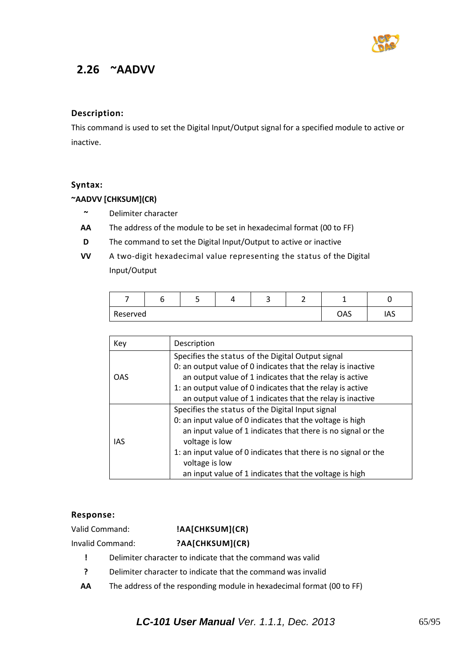

## **2.26 ~AADVV**

#### **Description:**

This command is used to set the Digital Input/Output signal for a specified module to active or inactive.

#### **Syntax:**

#### **~AADVV [CHKSUM](CR)**

- **~** Delimiter character
- **AA** The address of the module to be set in hexadecimal format (00 to FF)
- **D** The command to set the Digital Input/Output to active or inactive
- **VV** A two-digit hexadecimal value representing the status of the Digital Input/Output

| Reserved |  |  |  | OAS | IAS |  |  |
|----------|--|--|--|-----|-----|--|--|

| Key        | Description                                                     |
|------------|-----------------------------------------------------------------|
|            | Specifies the status of the Digital Output signal               |
|            | 0: an output value of 0 indicates that the relay is inactive    |
| <b>OAS</b> | an output value of 1 indicates that the relay is active         |
|            | 1: an output value of 0 indicates that the relay is active      |
|            | an output value of 1 indicates that the relay is inactive       |
|            | Specifies the status of the Digital Input signal                |
|            | 0: an input value of 0 indicates that the voltage is high       |
|            | an input value of 1 indicates that there is no signal or the    |
| IAS        | voltage is low                                                  |
|            | 1: an input value of 0 indicates that there is no signal or the |
|            | voltage is low                                                  |
|            | an input value of 1 indicates that the voltage is high          |

#### **Response:**

| Valid Command:   | !AA[CHKSUM](CR) |
|------------------|-----------------|
| Invalid Command: | ?AA[CHKSUM](CR) |

- **!** Delimiter character to indicate that the command was valid
- **?** Delimiter character to indicate that the command was invalid
- **AA** The address of the responding module in hexadecimal format (00 to FF)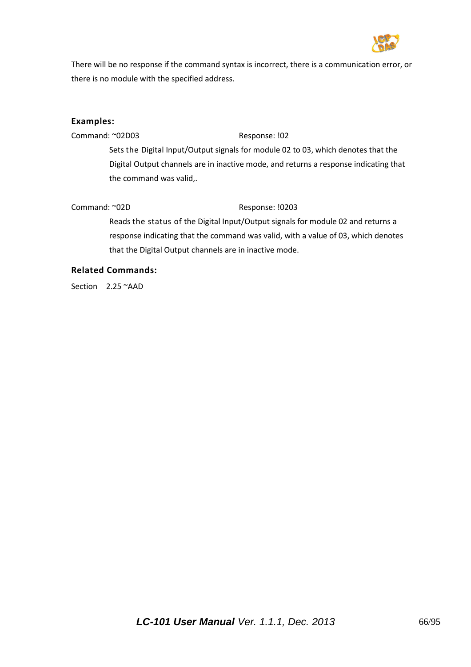

There will be no response if the command syntax is incorrect, there is a communication error, or there is no module with the specified address.

#### **Examples:**

Command: ~02D03 Response: !02

 Sets the Digital Input/Output signals for module 02 to 03, which denotes that the Digital Output channels are in inactive mode, and returns a response indicating that the command was valid,.

Command: ~02D Response: !0203

 Reads the status of the Digital Input/Output signals for module 02 and returns a response indicating that the command was valid, with a value of 03, which denotes that the Digital Output channels are in inactive mode.

#### **Related Commands:**

Section 2.25 ~AAD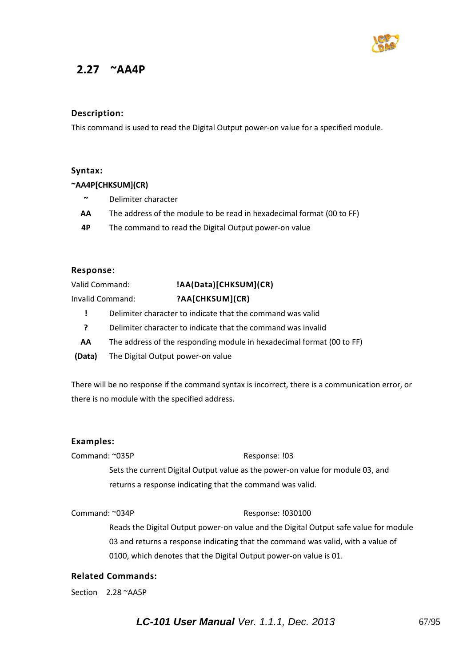

## **2.27 ~AA4P**

#### **Description:**

This command is used to read the Digital Output power-on value for a specified module.

#### **Syntax:**

#### **~AA4P[CHKSUM](CR)**

- **~** Delimiter character
- **AA** The address of the module to be read in hexadecimal format (00 to FF)
- **4P** The command to read the Digital Output power-on value

#### **Response:**

| Valid Command: |                                                                       | !AA(Data)[CHKSUM](CR) |
|----------------|-----------------------------------------------------------------------|-----------------------|
|                | Invalid Command:                                                      | ?AA[CHKSUM](CR)       |
|                | Delimiter character to indicate that the command was valid            |                       |
| ?              | Delimiter character to indicate that the command was invalid          |                       |
| AA             | The address of the responding module in hexadecimal format (00 to FF) |                       |
| (Data)         | The Digital Output power-on value                                     |                       |

There will be no response if the command syntax is incorrect, there is a communication error, or there is no module with the specified address.

#### **Examples:**

Command: ~035P Response: !03

 Sets the current Digital Output value as the power-on value for module 03, and returns a response indicating that the command was valid.

Command: ~034P Response: !030100

 Reads the Digital Output power-on value and the Digital Output safe value for module 03 and returns a response indicating that the command was valid, with a value of 0100, which denotes that the Digital Output power-on value is 01.

#### **Related Commands:**

Section 2.28 ~AA5P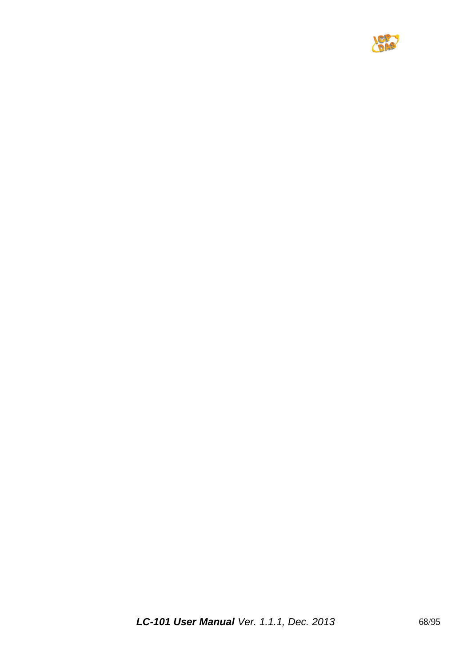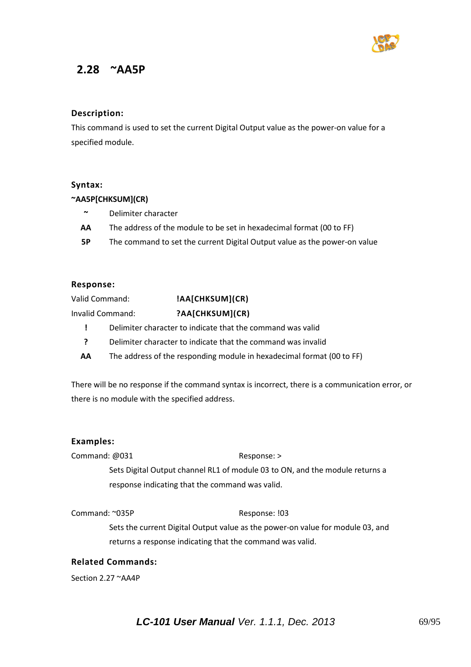

## **2.28 ~AA5P**

#### **Description:**

This command is used to set the current Digital Output value as the power-on value for a specified module.

#### **Syntax:**

#### **~AA5P[CHKSUM](CR)**

- **~** Delimiter character
- **AA** The address of the module to be set in hexadecimal format (00 to FF)
- **5P** The command to set the current Digital Output value as the power-on value

#### **Response:**

| Valid Command:<br>Invalid Command: |                                                              | !AA[CHKSUM](CR)<br>?AA[CHKSUM](CR)                                    |  |
|------------------------------------|--------------------------------------------------------------|-----------------------------------------------------------------------|--|
|                                    |                                                              |                                                                       |  |
| ?                                  | Delimiter character to indicate that the command was invalid |                                                                       |  |
| AA                                 |                                                              | The address of the responding module in hexadecimal format (00 to FF) |  |

There will be no response if the command syntax is incorrect, there is a communication error, or there is no module with the specified address.

#### **Examples:**

Command: @031 Response: >

 Sets Digital Output channel RL1 of module 03 to ON, and the module returns a response indicating that the command was valid.

Command: ~035P Response: !03

 Sets the current Digital Output value as the power-on value for module 03, and returns a response indicating that the command was valid.

#### **Related Commands:**

Section 2.27 ~AA4P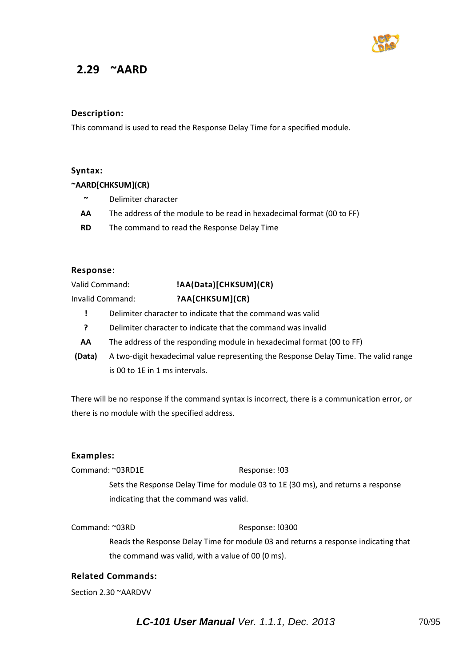

## **2.29 ~AARD**

#### **Description:**

This command is used to read the Response Delay Time for a specified module.

#### **Syntax:**

#### **~AARD[CHKSUM](CR)**

- **~** Delimiter character
- **AA** The address of the module to be read in hexadecimal format (00 to FF)
- **RD** The command to read the Response Delay Time

#### **Response:**

| Valid Command:<br>Invalid Command: |                                                                       | !AA(Data)[CHKSUM](CR)<br>?AA[CHKSUM](CR)                                            |  |
|------------------------------------|-----------------------------------------------------------------------|-------------------------------------------------------------------------------------|--|
|                                    |                                                                       |                                                                                     |  |
| ?                                  | Delimiter character to indicate that the command was invalid          |                                                                                     |  |
| AA                                 | The address of the responding module in hexadecimal format (00 to FF) |                                                                                     |  |
| (Data)                             |                                                                       | A two-digit hexadecimal value representing the Response Delay Time. The valid range |  |
|                                    | is 00 to 1E in 1 ms intervals.                                        |                                                                                     |  |

There will be no response if the command syntax is incorrect, there is a communication error, or there is no module with the specified address.

#### **Examples:**

| Command: ~03RD1E | Response: !03                                                                    |
|------------------|----------------------------------------------------------------------------------|
|                  | Sets the Response Delay Time for module 03 to 1E (30 ms), and returns a response |

indicating that the command was valid.

Command: ~03RD Response: !0300 Reads the Response Delay Time for module 03 and returns a response indicating that the command was valid, with a value of 00 (0 ms).

#### **Related Commands:**

Section 2.30 ~AARDVV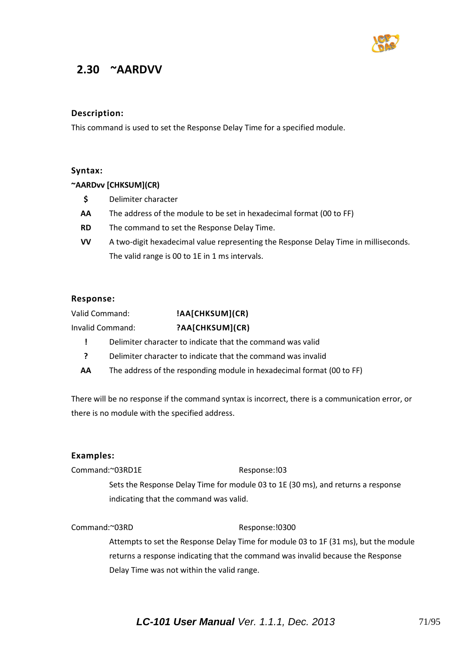

## **2.30 ~AARDVV**

#### **Description:**

This command is used to set the Response Delay Time for a specified module.

#### **Syntax:**

#### **~AARDvv [CHKSUM](CR)**

- **\$** Delimiter character
- **AA** The address of the module to be set in hexadecimal format (00 to FF)
- **RD** The command to set the Response Delay Time.
- **VV** A two-digit hexadecimal value representing the Response Delay Time in milliseconds. The valid range is 00 to 1E in 1 ms intervals.

#### **Response:**

| Valid Command:<br>Invalid Command: |  | !AA[CHKSUM](CR)<br>?AA[CHKSUM](CR)                           |  |
|------------------------------------|--|--------------------------------------------------------------|--|
|                                    |  |                                                              |  |
| Γ.                                 |  | Delimiter character to indicate that the command was invalid |  |

**AA** The address of the responding module in hexadecimal format (00 to FF)

There will be no response if the command syntax is incorrect, there is a communication error, or there is no module with the specified address.

#### **Examples:**

| Command:~03RD1E | Response: !03 |
|-----------------|---------------|
|-----------------|---------------|

 Sets the Response Delay Time for module 03 to 1E (30 ms), and returns a response indicating that the command was valid.

Command:~03RD Response:!0300 Attempts to set the Response Delay Time for module 03 to 1F (31 ms), but the module returns a response indicating that the command was invalid because the Response Delay Time was not within the valid range.

#### **LC-101 User Manual** Ver. 1.1.1, Dec. 2013 71/95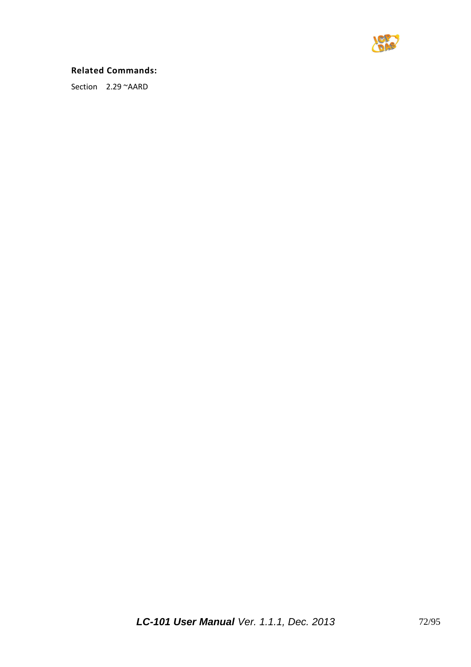

#### **Related Commands:**

Section 2.29 ~AARD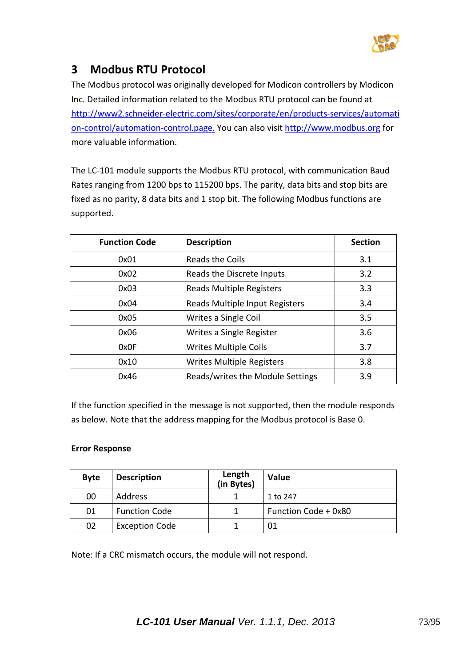

## **3 Modbus RTU Protocol**

The Modbus protocol was originally developed for Modicon controllers by Modicon Inc. Detailed information related to the Modbus RTU protocol can be found at http://www2.schneider-electric.com/sites/corporate/en/products-services/automati on-control/automation-control.page. You can also visit http://www.modbus.org for more valuable information.

The LC-101 module supports the Modbus RTU protocol, with communication Baud Rates ranging from 1200 bps to 115200 bps. The parity, data bits and stop bits are fixed as no parity, 8 data bits and 1 stop bit. The following Modbus functions are supported.

| <b>Function Code</b> | <b>Description</b>               | <b>Section</b> |
|----------------------|----------------------------------|----------------|
| 0x01                 | Reads the Coils                  | 3.1            |
| 0x02                 | Reads the Discrete Inputs        | 3.2            |
| 0x03                 | <b>Reads Multiple Registers</b>  | 3.3            |
| 0x04                 | Reads Multiple Input Registers   | 3.4            |
| 0x05                 | Writes a Single Coil             | 3.5            |
| 0x06                 | Writes a Single Register         | 3.6            |
| 0x0F                 | <b>Writes Multiple Coils</b>     | 3.7            |
| 0x10                 | <b>Writes Multiple Registers</b> | 3.8            |
| 0x46                 | Reads/writes the Module Settings | 3.9            |

If the function specified in the message is not supported, then the module responds as below. Note that the address mapping for the Modbus protocol is Base 0.

## **Error Response**

| <b>Byte</b> | <b>Description</b>    | Length<br>(in Bytes) | <b>Value</b>         |
|-------------|-----------------------|----------------------|----------------------|
| 00          | Address               |                      | 1 to 247             |
| 01          | <b>Function Code</b>  |                      | Function Code + 0x80 |
| 02          | <b>Exception Code</b> |                      | 01                   |

Note: If a CRC mismatch occurs, the module will not respond.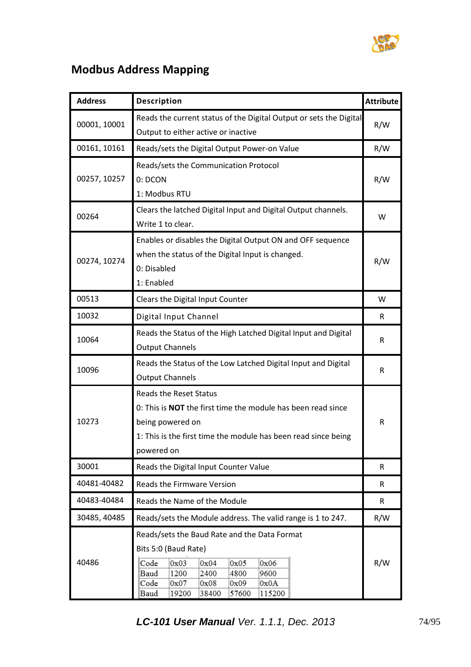

# **Modbus Address Mapping**

| <b>Address</b> | Description<br><b>Attribute</b>                                                                                                                                                                                                           |     |  |  |
|----------------|-------------------------------------------------------------------------------------------------------------------------------------------------------------------------------------------------------------------------------------------|-----|--|--|
| 00001, 10001   | Reads the current status of the Digital Output or sets the Digital<br>Output to either active or inactive                                                                                                                                 |     |  |  |
| 00161, 10161   | Reads/sets the Digital Output Power-on Value                                                                                                                                                                                              | R/W |  |  |
| 00257, 10257   | Reads/sets the Communication Protocol<br>0: DCON<br>1: Modbus RTU                                                                                                                                                                         |     |  |  |
| 00264          | Clears the latched Digital Input and Digital Output channels.<br>Write 1 to clear.                                                                                                                                                        | W   |  |  |
| 00274, 10274   | Enables or disables the Digital Output ON and OFF sequence<br>when the status of the Digital Input is changed.<br>0: Disabled<br>1: Enabled                                                                                               |     |  |  |
| 00513          | Clears the Digital Input Counter                                                                                                                                                                                                          | W   |  |  |
| 10032          | Digital Input Channel                                                                                                                                                                                                                     | R   |  |  |
| 10064          | Reads the Status of the High Latched Digital Input and Digital<br><b>Output Channels</b>                                                                                                                                                  |     |  |  |
| 10096          | Reads the Status of the Low Latched Digital Input and Digital<br><b>Output Channels</b>                                                                                                                                                   |     |  |  |
| 10273          | <b>Reads the Reset Status</b><br>0: This is <b>NOT</b> the first time the module has been read since<br>being powered on<br>1: This is the first time the module has been read since being<br>powered on                                  |     |  |  |
| 30001          | Reads the Digital Input Counter Value                                                                                                                                                                                                     |     |  |  |
| 40481-40482    | Reads the Firmware Version                                                                                                                                                                                                                |     |  |  |
| 40483-40484    | Reads the Name of the Module                                                                                                                                                                                                              |     |  |  |
| 30485, 40485   | Reads/sets the Module address. The valid range is 1 to 247.                                                                                                                                                                               |     |  |  |
| 40486          | Reads/sets the Baud Rate and the Data Format<br>Bits 5:0 (Baud Rate)<br>0x03<br>Code<br>0x04<br>0x06<br>0x05<br>1200<br>2400<br>9600<br>Baud<br>4800<br>0x07<br>Code<br>0x08<br>0x09<br>0x0A<br>19200<br>57600<br>115200<br>Baud<br>38400 |     |  |  |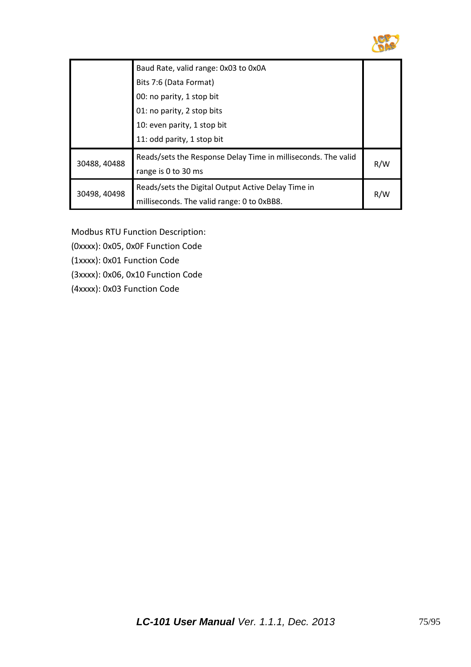

| Baud Rate, valid range: 0x03 to 0x0A |                                                               |     |
|--------------------------------------|---------------------------------------------------------------|-----|
| Bits 7:6 (Data Format)               |                                                               |     |
| 00: no parity, 1 stop bit            |                                                               |     |
| 01: no parity, 2 stop bits           |                                                               |     |
| 10: even parity, 1 stop bit          |                                                               |     |
|                                      | 11: odd parity, 1 stop bit                                    |     |
| 30488, 40488                         | Reads/sets the Response Delay Time in milliseconds. The valid | R/W |
|                                      | range is 0 to 30 ms                                           |     |
| 30498, 40498                         | Reads/sets the Digital Output Active Delay Time in            |     |
|                                      | milliseconds. The valid range: 0 to 0xBB8.                    | R/W |

Modbus RTU Function Description:

(0xxxx): 0x05, 0x0F Function Code

(1xxxx): 0x01 Function Code

(3xxxx): 0x06, 0x10 Function Code

(4xxxx): 0x03 Function Code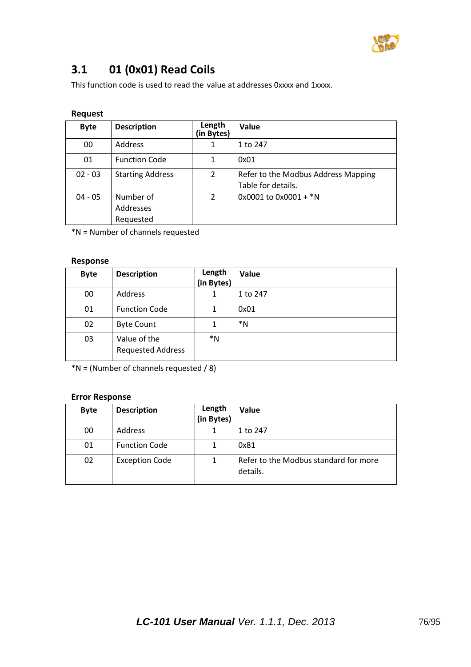

# **3.1 01 (0x01) Read Coils**

This function code is used to read the value at addresses 0xxxx and 1xxxx.

| <b>Byte</b> | <b>Description</b>                  | Length<br>(in Bytes) | Value                                                     |
|-------------|-------------------------------------|----------------------|-----------------------------------------------------------|
| 00          | Address                             |                      | 1 to 247                                                  |
| 01          | <b>Function Code</b>                |                      | 0x01                                                      |
| $02 - 03$   | <b>Starting Address</b>             | 2                    | Refer to the Modbus Address Mapping<br>Table for details. |
| $04 - 05$   | Number of<br>Addresses<br>Requested | 2                    | $0x0001$ to $0x0001 + *N$                                 |

\*N = Number of channels requested

### **Response**

| <b>Byte</b> | <b>Description</b>                       | Length<br>(in Bytes) | Value    |
|-------------|------------------------------------------|----------------------|----------|
| 00          | Address                                  | 1                    | 1 to 247 |
| 01          | <b>Function Code</b>                     | 1                    | 0x01     |
| 02          | <b>Byte Count</b>                        | 1                    | *N       |
| 03          | Value of the<br><b>Requested Address</b> | $*_{N}$              |          |

\*N = (Number of channels requested / 8)

| <b>Byte</b> | <b>Description</b>    | Length<br>(in Bytes) | Value                                             |
|-------------|-----------------------|----------------------|---------------------------------------------------|
|             |                       |                      |                                                   |
| 00          | Address               |                      | 1 to 247                                          |
| 01          | <b>Function Code</b>  |                      | 0x81                                              |
| 02          | <b>Exception Code</b> | 1                    | Refer to the Modbus standard for more<br>details. |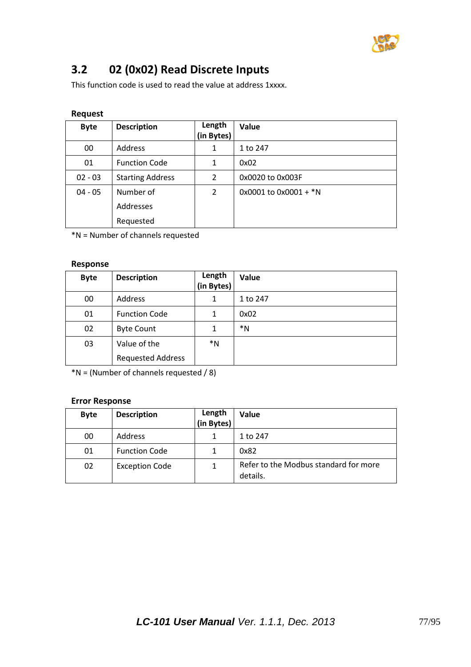

# **3.2 02 (0x02) Read Discrete Inputs**

This function code is used to read the value at address 1xxxx.

## **Request**

| <b>Byte</b> | <b>Description</b>      | Length<br>(in Bytes) | Value                     |
|-------------|-------------------------|----------------------|---------------------------|
| 00          | Address                 | 1                    | 1 to 247                  |
| 01          | <b>Function Code</b>    | 1                    | 0x02                      |
| $02 - 03$   | <b>Starting Address</b> | 2                    | 0x0020 to 0x003F          |
| $04 - 05$   | Number of               | $\overline{2}$       | $0x0001$ to $0x0001 + *N$ |
|             | Addresses               |                      |                           |
|             | Requested               |                      |                           |

\*N = Number of channels requested

### **Response**

| <b>Byte</b> | <b>Description</b>       | Length<br>(in Bytes) | Value    |
|-------------|--------------------------|----------------------|----------|
| 00          | Address                  | 1                    | 1 to 247 |
| 01          | <b>Function Code</b>     | 1                    | 0x02     |
| 02          | <b>Byte Count</b>        | 1                    | *N       |
| 03          | Value of the             | $*_{N}$              |          |
|             | <b>Requested Address</b> |                      |          |

 $*N = (Number of channels requested / 8)$ 

| <b>Byte</b> | <b>Description</b>    | Length<br>(in Bytes) | Value                                             |
|-------------|-----------------------|----------------------|---------------------------------------------------|
| 00          | Address               |                      | 1 to 247                                          |
| 01          | <b>Function Code</b>  | 1                    | 0x82                                              |
| 02          | <b>Exception Code</b> |                      | Refer to the Modbus standard for more<br>details. |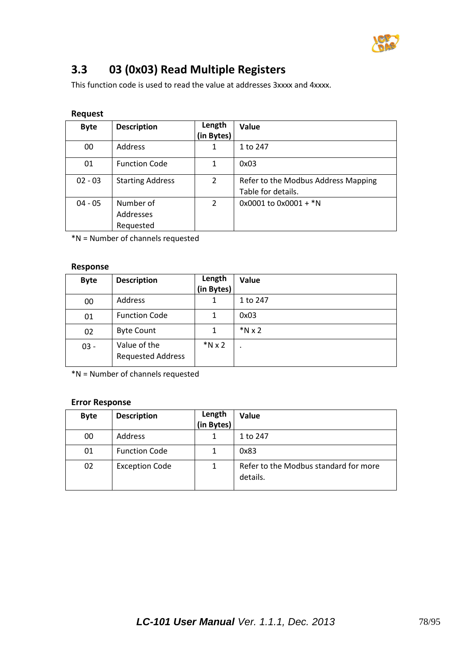

# **3.3 03 (0x03) Read Multiple Registers**

This function code is used to read the value at addresses 3xxxx and 4xxxx.

## **Request**

| <b>Byte</b> | <b>Description</b>      | Length         | Value                               |
|-------------|-------------------------|----------------|-------------------------------------|
|             |                         | (in Bytes)     |                                     |
| 00          | Address                 |                | 1 to 247                            |
| 01          | <b>Function Code</b>    | 1              | 0x03                                |
| $02 - 03$   | <b>Starting Address</b> | $\overline{2}$ | Refer to the Modbus Address Mapping |
|             |                         |                | Table for details.                  |
| $04 - 05$   | Number of               | $\overline{2}$ | 0x0001 to 0x0001 + *N               |
|             | Addresses               |                |                                     |
|             | Requested               |                |                                     |

\*N = Number of channels requested

## **Response**

| <b>Byte</b> | <b>Description</b>                       | Length<br>(in Bytes) | Value         |
|-------------|------------------------------------------|----------------------|---------------|
| 00          | Address                                  | 1                    | 1 to 247      |
| 01          | <b>Function Code</b>                     | 1                    | 0x03          |
| 02          | <b>Byte Count</b>                        | 1                    | $*N \times 2$ |
| $03 -$      | Value of the<br><b>Requested Address</b> | $*N \times 2$        | ٠             |

\*N = Number of channels requested

| <b>Byte</b> | <b>Description</b>    | Length<br>(in Bytes) | Value                                             |
|-------------|-----------------------|----------------------|---------------------------------------------------|
|             |                       |                      |                                                   |
| 00          | Address               |                      | 1 to 247                                          |
| 01          | <b>Function Code</b>  |                      | 0x83                                              |
|             |                       |                      |                                                   |
| 02          | <b>Exception Code</b> | 1                    | Refer to the Modbus standard for more<br>details. |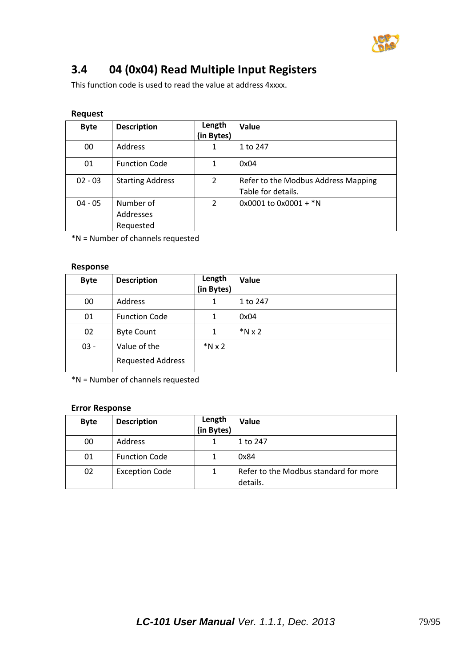

# **3.4 04 (0x04) Read Multiple Input Registers**

This function code is used to read the value at address 4xxxx.

## **Request**

| <b>Byte</b> | <b>Description</b>                  | Length<br>(in Bytes) | Value                                                     |
|-------------|-------------------------------------|----------------------|-----------------------------------------------------------|
| 00          | Address                             | 1                    | 1 to 247                                                  |
| 01          | <b>Function Code</b>                | 1                    | 0x04                                                      |
| $02 - 03$   | <b>Starting Address</b>             | $\overline{2}$       | Refer to the Modbus Address Mapping<br>Table for details. |
| $04 - 05$   | Number of<br>Addresses<br>Requested | $\overline{2}$       | $0x0001$ to $0x0001 + *N$                                 |

\*N = Number of channels requested

## **Response**

| <b>Byte</b> | <b>Description</b>       | Length<br>(in Bytes) | Value         |
|-------------|--------------------------|----------------------|---------------|
| 00          | Address                  | 1                    | 1 to 247      |
| 01          | <b>Function Code</b>     | 1                    | 0x04          |
| 02          | <b>Byte Count</b>        | 1                    | $*N \times 2$ |
| $03 -$      | Value of the             | $*N \times 2$        |               |
|             | <b>Requested Address</b> |                      |               |

\*N = Number of channels requested

| <b>Byte</b> | <b>Description</b>    | Length<br>(in Bytes) | Value                                             |
|-------------|-----------------------|----------------------|---------------------------------------------------|
| 00          | Address               |                      | 1 to 247                                          |
| 01          | <b>Function Code</b>  |                      | 0x84                                              |
| 02          | <b>Exception Code</b> |                      | Refer to the Modbus standard for more<br>details. |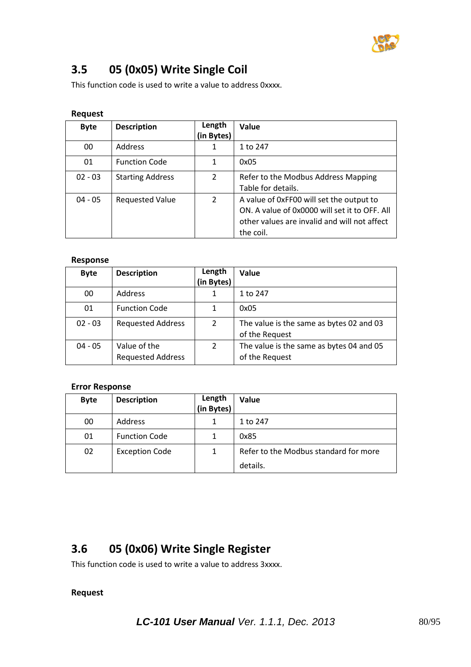

# **3.5 05 (0x05) Write Single Coil**

This function code is used to write a value to address 0xxxx.

## **Request**

| <b>Byte</b> | <b>Description</b>      | Length<br>(in Bytes) | Value                                         |
|-------------|-------------------------|----------------------|-----------------------------------------------|
|             |                         |                      |                                               |
| 00          | Address                 | 1                    | 1 to 247                                      |
| 01          | <b>Function Code</b>    | 1                    | 0x05                                          |
| $02 - 03$   | <b>Starting Address</b> | 2                    | Refer to the Modbus Address Mapping           |
|             |                         |                      | Table for details.                            |
| $04 - 05$   | <b>Requested Value</b>  | 2                    | A value of 0xFF00 will set the output to      |
|             |                         |                      | ON. A value of 0x0000 will set it to OFF. All |
|             |                         |                      | other values are invalid and will not affect  |
|             |                         |                      | the coil.                                     |

## **Response**

| <b>Byte</b> | <b>Description</b>                       | Length<br>(in Bytes) | Value                                                      |
|-------------|------------------------------------------|----------------------|------------------------------------------------------------|
| 00          | Address                                  |                      | 1 to 247                                                   |
| 01          | <b>Function Code</b>                     |                      | 0x05                                                       |
| $02 - 03$   | <b>Requested Address</b>                 | $\overline{2}$       | The value is the same as bytes 02 and 03<br>of the Request |
| $04 - 05$   | Value of the<br><b>Requested Address</b> | $\overline{2}$       | The value is the same as bytes 04 and 05<br>of the Request |

#### **Error Response**

| <b>Byte</b> | <b>Description</b>    | Length     | Value                                 |
|-------------|-----------------------|------------|---------------------------------------|
|             |                       | (in Bytes) |                                       |
| 00          | Address               | 1          | 1 to 247                              |
| 01          | <b>Function Code</b>  | 1          | 0x85                                  |
| 02          | <b>Exception Code</b> | 1          | Refer to the Modbus standard for more |
|             |                       |            | details.                              |

## **3.6 05 (0x06) Write Single Register**

This function code is used to write a value to address 3xxxx.

## **Request**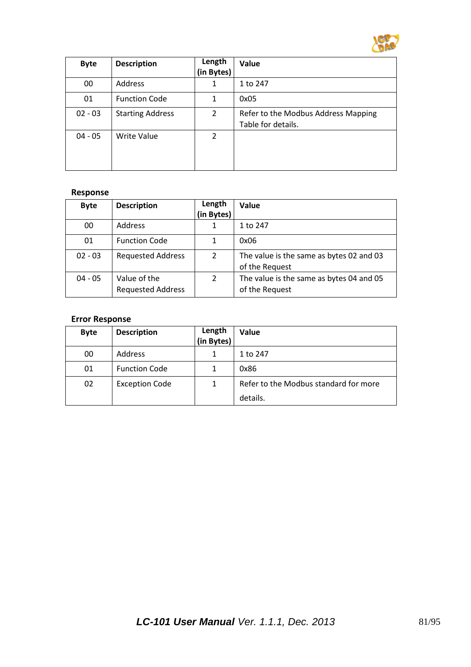

| <b>Byte</b> | <b>Description</b>      | Length         | Value                               |
|-------------|-------------------------|----------------|-------------------------------------|
|             |                         | (in Bytes)     |                                     |
| 00          | Address                 |                | 1 to 247                            |
| 01          | <b>Function Code</b>    |                | 0x05                                |
| $02 - 03$   | <b>Starting Address</b> | $\overline{2}$ | Refer to the Modbus Address Mapping |
|             |                         |                | Table for details.                  |
| $04 - 05$   | Write Value             | 2              |                                     |
|             |                         |                |                                     |

## **Response**

| <b>Byte</b> | <b>Description</b>                       | Length<br>(in Bytes) | Value                                                      |
|-------------|------------------------------------------|----------------------|------------------------------------------------------------|
| 00          | Address                                  |                      | 1 to 247                                                   |
| 01          | <b>Function Code</b>                     |                      | 0x06                                                       |
| $02 - 03$   | <b>Requested Address</b>                 | $\overline{2}$       | The value is the same as bytes 02 and 03<br>of the Request |
| $04 - 05$   | Value of the<br><b>Requested Address</b> | 2                    | The value is the same as bytes 04 and 05<br>of the Request |

| <b>Byte</b> | <b>Description</b>    | Length<br>(in Bytes) | Value                                 |
|-------------|-----------------------|----------------------|---------------------------------------|
| 00          | Address               |                      | 1 to 247                              |
| 01          | <b>Function Code</b>  | 1                    | 0x86                                  |
| 02          | <b>Exception Code</b> | 1                    | Refer to the Modbus standard for more |
|             |                       |                      | details.                              |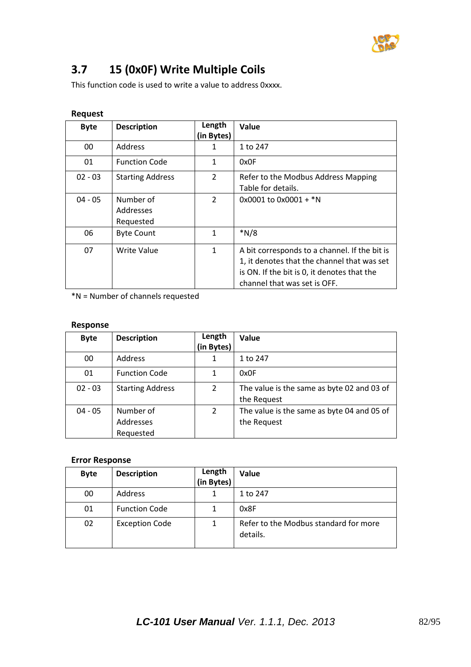

# **3.7 15 (0x0F) Write Multiple Coils**

This function code is used to write a value to address 0xxxx.

## **Request**

| <b>Byte</b> | <b>Description</b>      | Length         | Value                                         |
|-------------|-------------------------|----------------|-----------------------------------------------|
|             |                         | (in Bytes)     |                                               |
| $00 \,$     | Address                 |                | 1 to 247                                      |
| 01          | <b>Function Code</b>    | 1              | 0x0F                                          |
| $02 - 03$   | <b>Starting Address</b> | $\overline{2}$ | Refer to the Modbus Address Mapping           |
|             |                         |                | Table for details.                            |
| $04 - 05$   | Number of               | $\overline{2}$ | $0x0001$ to $0x0001 + *N$                     |
|             | Addresses               |                |                                               |
|             | Requested               |                |                                               |
| 06          | <b>Byte Count</b>       | 1              | $*N/8$                                        |
| 07          | Write Value             | 1              | A bit corresponds to a channel. If the bit is |
|             |                         |                | 1, it denotes that the channel that was set   |
|             |                         |                | is ON. If the bit is 0, it denotes that the   |
|             |                         |                | channel that was set is OFF.                  |

\*N = Number of channels requested

## **Response**

| <b>Byte</b> | <b>Description</b>                  | Length<br>(in Bytes) | Value                                                     |
|-------------|-------------------------------------|----------------------|-----------------------------------------------------------|
| 00          | Address                             |                      | 1 to 247                                                  |
| 01          | <b>Function Code</b>                |                      | 0x0F                                                      |
| $02 - 03$   | <b>Starting Address</b>             | $\overline{2}$       | The value is the same as byte 02 and 03 of<br>the Request |
| $04 - 05$   | Number of<br>Addresses<br>Requested | $\overline{2}$       | The value is the same as byte 04 and 05 of<br>the Request |

| <b>Byte</b> | <b>Description</b>    | Length<br>(in Bytes) | Value                                             |
|-------------|-----------------------|----------------------|---------------------------------------------------|
| 00          | Address               |                      | 1 to 247                                          |
| 01          | <b>Function Code</b>  |                      | 0x8F                                              |
| 02          | <b>Exception Code</b> |                      | Refer to the Modbus standard for more<br>details. |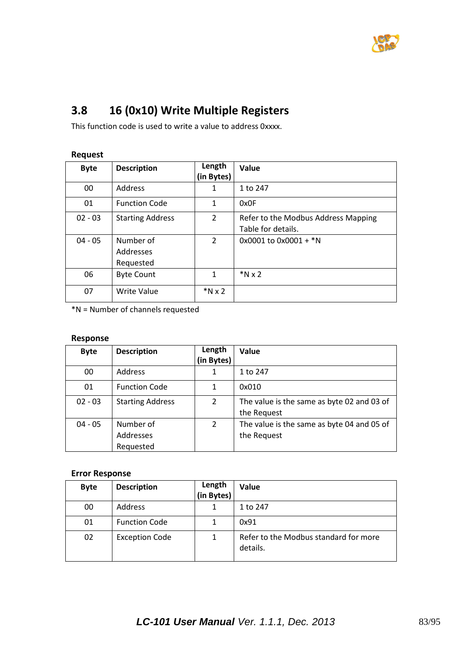

# **3.8 16 (0x10) Write Multiple Registers**

This function code is used to write a value to address 0xxxx.

#### **Request**

| <b>Byte</b> | <b>Description</b>                  | Length         | Value                                                     |
|-------------|-------------------------------------|----------------|-----------------------------------------------------------|
|             |                                     | (in Bytes)     |                                                           |
| 00          | <b>Address</b>                      | 1              | 1 to 247                                                  |
| 01          | <b>Function Code</b>                | 1              | 0x0F                                                      |
| $02 - 03$   | <b>Starting Address</b>             | $\overline{2}$ | Refer to the Modbus Address Mapping<br>Table for details. |
| $04 - 05$   | Number of<br>Addresses<br>Requested | $\overline{2}$ | $0x0001$ to $0x0001 + *N$                                 |
| 06          | <b>Byte Count</b>                   | 1              | $*N \times 2$                                             |
| 07          | Write Value                         | $*$ N x 2      |                                                           |

\*N = Number of channels requested

#### **Response**

| <b>Byte</b> | <b>Description</b>      | Length         | Value                                      |
|-------------|-------------------------|----------------|--------------------------------------------|
|             |                         | (in Bytes)     |                                            |
| 00          | Address                 |                | 1 to 247                                   |
| 01          | <b>Function Code</b>    |                | 0x010                                      |
| $02 - 03$   | <b>Starting Address</b> | $\overline{2}$ | The value is the same as byte 02 and 03 of |
|             |                         |                | the Request                                |
| $04 - 05$   | Number of               | $\overline{2}$ | The value is the same as byte 04 and 05 of |
|             | Addresses               |                | the Request                                |
|             | Requested               |                |                                            |

| <b>Byte</b> | <b>Description</b>    | Length     | Value                                             |
|-------------|-----------------------|------------|---------------------------------------------------|
|             |                       | (in Bytes) |                                                   |
| 00          | Address               |            | 1 to 247                                          |
| 01          | <b>Function Code</b>  |            | 0x91                                              |
| 02          | <b>Exception Code</b> | 1.         | Refer to the Modbus standard for more<br>details. |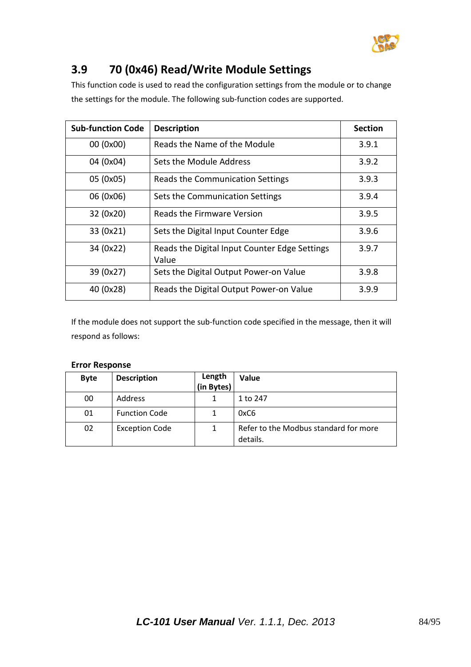

## **3.9 70 (0x46) Read/Write Module Settings**

This function code is used to read the configuration settings from the module or to change the settings for the module. The following sub-function codes are supported.

| <b>Sub-function Code</b> | <b>Description</b>                                     | <b>Section</b> |
|--------------------------|--------------------------------------------------------|----------------|
| 00 (0x00)                | Reads the Name of the Module                           | 3.9.1          |
| 04 (0x04)                | Sets the Module Address                                | 3.9.2          |
| 05 (0x05)                | Reads the Communication Settings                       | 3.9.3          |
| 06 (0x06)                | Sets the Communication Settings                        | 3.9.4          |
| 32 (0x20)                | Reads the Firmware Version                             | 3.9.5          |
| 33 (0x21)                | Sets the Digital Input Counter Edge                    | 3.9.6          |
| 34 (0x22)                | Reads the Digital Input Counter Edge Settings<br>Value | 3.9.7          |
| 39 (0x27)                | Sets the Digital Output Power-on Value                 | 3.9.8          |
| 40 (0x28)                | Reads the Digital Output Power-on Value                | 3.9.9          |

If the module does not support the sub-function code specified in the message, then it will respond as follows:

| <b>Byte</b> | <b>Description</b>    | Length<br>(in Bytes) | Value                                 |
|-------------|-----------------------|----------------------|---------------------------------------|
|             |                       |                      |                                       |
| 00          | <b>Address</b>        |                      | 1 to 247                              |
|             |                       |                      |                                       |
| 01          | <b>Function Code</b>  |                      | 0xC6                                  |
| 02          | <b>Exception Code</b> | 1                    | Refer to the Modbus standard for more |
|             |                       |                      | details.                              |
|             |                       |                      |                                       |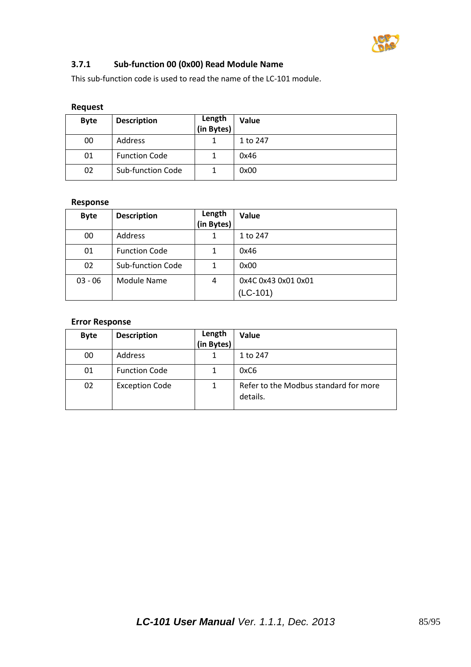

## **3.7.1 Sub-function 00 (0x00) Read Module Name**

This sub-function code is used to read the name of the LC-101 module.

## **Request**

| <b>Byte</b> | <b>Description</b>   | Length     | Value    |
|-------------|----------------------|------------|----------|
|             |                      | (in Bytes) |          |
| 00          | Address              |            | 1 to 247 |
| 01          | <b>Function Code</b> |            | 0x46     |
| 02          | Sub-function Code    |            | 0x00     |

## **Response**

| <b>Byte</b> | <b>Description</b>   | Length     | Value               |
|-------------|----------------------|------------|---------------------|
|             |                      | (in Bytes) |                     |
| $00\,$      | Address              | 1          | 1 to 247            |
| 01          | <b>Function Code</b> | 1          | 0x46                |
| 02          | Sub-function Code    | 1          | 0x00                |
| $03 - 06$   | <b>Module Name</b>   | 4          | 0x4C 0x43 0x01 0x01 |
|             |                      |            | $(LC-101)$          |

| <b>Byte</b> | <b>Description</b>    | Length<br>(in Bytes) | Value                                             |
|-------------|-----------------------|----------------------|---------------------------------------------------|
| 00          | Address               |                      | 1 to 247                                          |
| 01          | <b>Function Code</b>  |                      | 0xC6                                              |
| 02          | <b>Exception Code</b> | 1                    | Refer to the Modbus standard for more<br>details. |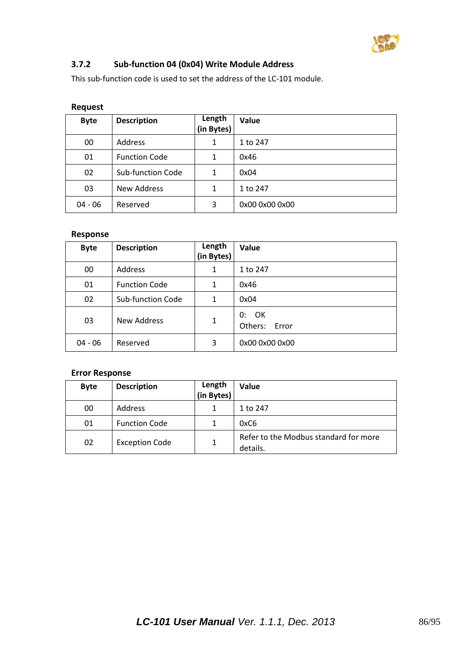

## **3.7.2 Sub-function 04 (0x04) Write Module Address**

This sub-function code is used to set the address of the LC-101 module.

| <b>Byte</b> | <b>Description</b>   | Length<br>(in Bytes) | Value          |
|-------------|----------------------|----------------------|----------------|
| 00          | Address              | 1                    | 1 to 247       |
| 01          | <b>Function Code</b> | 1                    | 0x46           |
| 02          | Sub-function Code    | 1                    | 0x04           |
| 03          | New Address          | 1                    | 1 to 247       |
| $04 - 06$   | Reserved             | 3                    | 0x00 0x00 0x00 |

## **Response**

| <b>Byte</b> | <b>Description</b>       | Length<br>(in Bytes) | Value                  |
|-------------|--------------------------|----------------------|------------------------|
| 00          | Address                  | 1                    | 1 to 247               |
| 01          | <b>Function Code</b>     | 1                    | 0x46                   |
| 02          | <b>Sub-function Code</b> | 1                    | 0x04                   |
| 03          | New Address              | 1                    | 0: OK<br>Others: Error |
| $04 - 06$   | Reserved                 | 3                    | 0x00 0x00 0x00         |

| <b>Byte</b> | <b>Description</b>    | Length<br>(in Bytes) | Value                                             |
|-------------|-----------------------|----------------------|---------------------------------------------------|
| 00          | Address               |                      | 1 to 247                                          |
| 01          | <b>Function Code</b>  |                      | 0xC6                                              |
| 02          | <b>Exception Code</b> | 1                    | Refer to the Modbus standard for more<br>details. |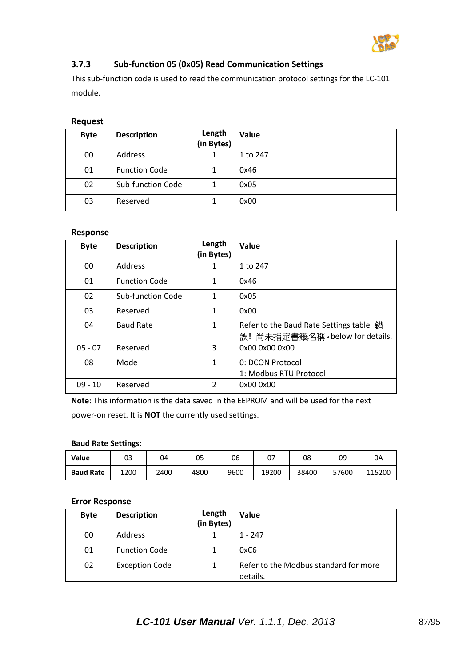

## **3.7.3 Sub-function 05 (0x05) Read Communication Settings**

This sub-function code is used to read the communication protocol settings for the LC-101 module.

#### **Request**

| <b>Byte</b> | <b>Description</b>   | Length     | <b>Value</b> |
|-------------|----------------------|------------|--------------|
|             |                      | (in Bytes) |              |
| 00          | Address              | 1          | 1 to 247     |
| 01          | <b>Function Code</b> | 1          | 0x46         |
| 02          | Sub-function Code    | 1          | 0x05         |
| 03          | Reserved             | 1          | 0x00         |

#### **Response**

| <b>Byte</b> | <b>Description</b>   | Length<br>(in Bytes) | Value                                   |
|-------------|----------------------|----------------------|-----------------------------------------|
|             |                      |                      |                                         |
| $00 \,$     | Address              | 1                    | 1 to 247                                |
| 01          | <b>Function Code</b> | 1                    | 0x46                                    |
| 02          | Sub-function Code    | 1                    | 0x05                                    |
| 03          | Reserved             | 1                    | 0x00                                    |
| 04          | <b>Baud Rate</b>     | 1                    | Refer to the Baud Rate Settings table 錯 |
|             |                      |                      | 誤! 尚未指定書籤名稱。below for details.          |
| $05 - 07$   | Reserved             | 3                    | 0x00 0x00 0x00                          |
| 08          | Mode                 | 1                    | 0: DCON Protocol                        |
|             |                      |                      | 1: Modbus RTU Protocol                  |
| $09 - 10$   | Reserved             | $\overline{2}$       | 0x00 0x00                               |

**Note**: This information is the data saved in the EEPROM and will be used for the next power-on reset. It is **NOT** the currently used settings.

#### **Baud Rate Settings:**

| Value            | 03   | 04   | 05   | 06   | 07    | 08    | 09    | 0A     |
|------------------|------|------|------|------|-------|-------|-------|--------|
| <b>Baud Rate</b> | 1200 | 2400 | 4800 | 9600 | 19200 | 38400 | 57600 | 115200 |

| <b>Byte</b> | <b>Description</b>    | Length<br>(in Bytes) | Value                                 |
|-------------|-----------------------|----------------------|---------------------------------------|
| 00          | Address               |                      | $1 - 247$                             |
| 01          | <b>Function Code</b>  |                      | 0xC6                                  |
| 02          | <b>Exception Code</b> |                      | Refer to the Modbus standard for more |
|             |                       |                      | details.                              |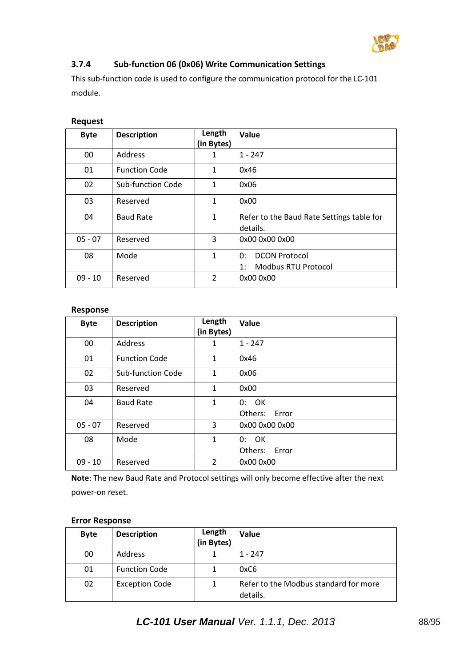

## **3.7.4 Sub-function 06 (0x06) Write Communication Settings**

This sub-function code is used to configure the communication protocol for the LC-101 module.

#### **Request**

| <b>Byte</b> | <b>Description</b>   | Length         | Value                                     |
|-------------|----------------------|----------------|-------------------------------------------|
|             |                      | (in Bytes)     |                                           |
| 00          | Address              | 1              | $1 - 247$                                 |
| 01          | <b>Function Code</b> | 1              | 0x46                                      |
| 02          | Sub-function Code    | 1              | 0x06                                      |
| 03          | Reserved             | $\mathbf{1}$   | 0x00                                      |
| 04          | <b>Baud Rate</b>     | $\mathbf{1}$   | Refer to the Baud Rate Settings table for |
|             |                      |                | details.                                  |
| $05 - 07$   | Reserved             | 3              | 0x00 0x00 0x00                            |
| 08          | Mode                 | 1              | <b>DCON Protocol</b><br>0:                |
|             |                      |                | <b>Modbus RTU Protocol</b><br>1:          |
| $09 - 10$   | Reserved             | $\overline{2}$ | 0x00 0x00                                 |

#### **Response**

| <b>Byte</b> | <b>Description</b>       | Length<br>(in Bytes) | Value          |
|-------------|--------------------------|----------------------|----------------|
| 00          | Address                  | 1                    | $1 - 247$      |
| 01          | <b>Function Code</b>     | 1                    | 0x46           |
| 02          | <b>Sub-function Code</b> | 1                    | 0x06           |
| 03          | Reserved                 | $\mathbf{1}$         | 0x00           |
| 04          | <b>Baud Rate</b>         | 1                    | 0: OK          |
|             |                          |                      | Others: Error  |
| $05 - 07$   | Reserved                 | 3                    | 0x00 0x00 0x00 |
| 08          | Mode                     | 1                    | $0:$ OK        |
|             |                          |                      | Others: Error  |
| $09 - 10$   | Reserved                 | $\overline{2}$       | 0x00 0x00      |

**Note**: The new Baud Rate and Protocol settings will only become effective after the next power-on reset.

| <b>Byte</b> | <b>Description</b>    | Length<br>(in Bytes) | Value                                             |
|-------------|-----------------------|----------------------|---------------------------------------------------|
| 00          | Address               |                      | $1 - 247$                                         |
| 01          | <b>Function Code</b>  |                      | 0xC6                                              |
| 02          | <b>Exception Code</b> | 1                    | Refer to the Modbus standard for more<br>details. |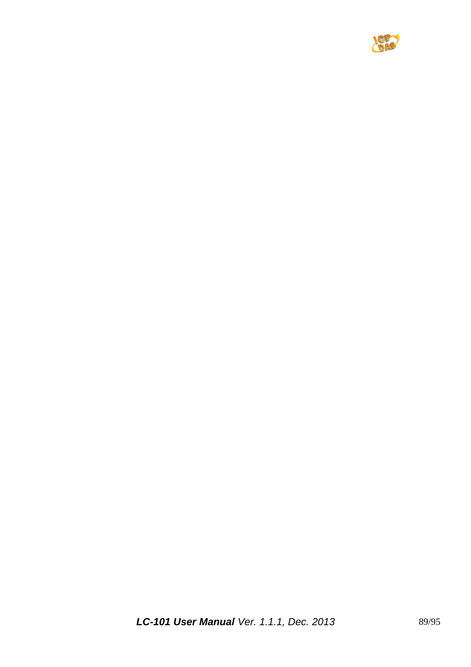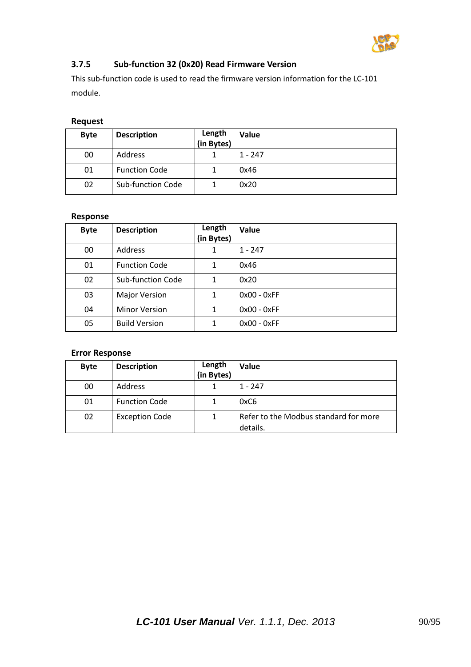

## **3.7.5 Sub-function 32 (0x20) Read Firmware Version**

This sub-function code is used to read the firmware version information for the LC-101 module.

### **Request**

| <b>Byte</b> | <b>Description</b>   | Length     | Value     |
|-------------|----------------------|------------|-----------|
|             |                      | (in Bytes) |           |
| 00          | Address              |            | $1 - 247$ |
| 01          | <b>Function Code</b> |            | 0x46      |
| 02          | Sub-function Code    |            | 0x20      |

#### **Response**

| <b>Byte</b> | <b>Description</b>   | Length<br>(in Bytes) | Value         |
|-------------|----------------------|----------------------|---------------|
| 00          | Address              | 1                    | $1 - 247$     |
| 01          | <b>Function Code</b> | 1                    | 0x46          |
| 02          | Sub-function Code    | 1                    | 0x20          |
| 03          | <b>Major Version</b> | 1                    | $0x00 - 0xFF$ |
| 04          | <b>Minor Version</b> | 1                    | $0x00 - 0xFF$ |
| 05          | <b>Build Version</b> | 1                    | $0x00 - 0xFF$ |

| <b>Byte</b> | <b>Description</b>    | Length<br>(in Bytes) | Value                                             |
|-------------|-----------------------|----------------------|---------------------------------------------------|
| 00          | Address               |                      | $1 - 247$                                         |
| 01          | <b>Function Code</b>  | 1                    | 0xC6                                              |
| 02          | <b>Exception Code</b> | 1                    | Refer to the Modbus standard for more<br>details. |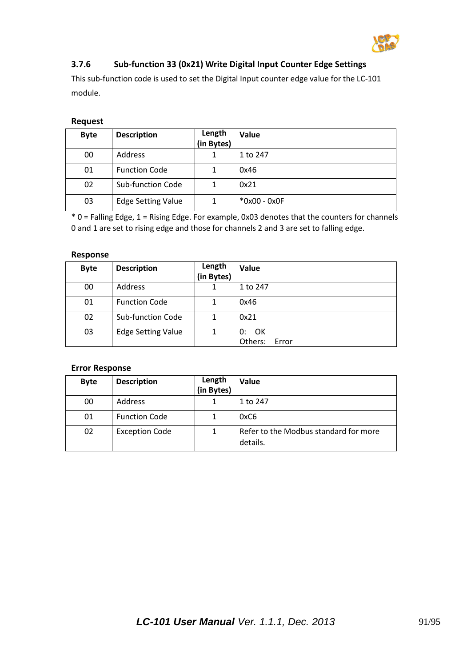

## **3.7.6 Sub-function 33 (0x21) Write Digital Input Counter Edge Settings**

This sub-function code is used to set the Digital Input counter edge value for the LC-101 module.

#### **Request**

| <b>Byte</b> | <b>Description</b>        | Length     | Value          |
|-------------|---------------------------|------------|----------------|
|             |                           | (in Bytes) |                |
| 00          | Address                   |            | 1 to 247       |
| 01          | <b>Function Code</b>      |            | 0x46           |
| 02          | <b>Sub-function Code</b>  |            | 0x21           |
| 03          | <b>Edge Setting Value</b> |            | $*0x00 - 0x0F$ |

\* 0 = Falling Edge, 1 = Rising Edge. For example, 0x03 denotes that the counters for channels 0 and 1 are set to rising edge and those for channels 2 and 3 are set to falling edge.

#### **Response**

| <b>Byte</b> | <b>Description</b>        | Length     | Value            |
|-------------|---------------------------|------------|------------------|
|             |                           | (in Bytes) |                  |
| 00          | Address                   |            | 1 to 247         |
| 01          | <b>Function Code</b>      |            | 0x46             |
| 02          | Sub-function Code         |            | 0x21             |
| 03          | <b>Edge Setting Value</b> |            | 0: OK            |
|             |                           |            | Others:<br>Error |

| <b>Byte</b> | <b>Description</b>    | Length<br>(in Bytes) | Value                                             |
|-------------|-----------------------|----------------------|---------------------------------------------------|
| 00          | Address               |                      | 1 to 247                                          |
| 01          | <b>Function Code</b>  |                      | 0xC6                                              |
| 02          | <b>Exception Code</b> |                      | Refer to the Modbus standard for more<br>details. |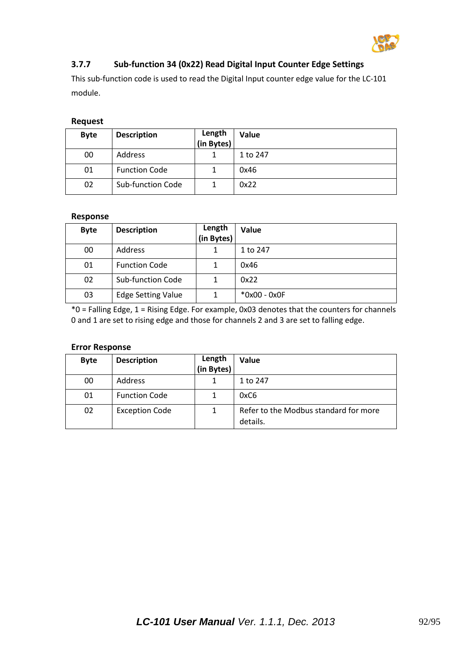

## **3.7.7 Sub-function 34 (0x22) Read Digital Input Counter Edge Settings**

This sub-function code is used to read the Digital Input counter edge value for the LC-101 module.

#### **Request**

| <b>Byte</b> | <b>Description</b>   | Length     | Value    |
|-------------|----------------------|------------|----------|
|             |                      | (in Bytes) |          |
| 00          | Address              |            | 1 to 247 |
| 01          | <b>Function Code</b> |            | 0x46     |
| 02          | Sub-function Code    |            | 0x22     |

#### **Response**

| <b>Byte</b> | <b>Description</b>        | Length<br>(in Bytes) | Value        |
|-------------|---------------------------|----------------------|--------------|
| 00          | Address                   |                      | 1 to 247     |
| 01          | <b>Function Code</b>      |                      | 0x46         |
| 02          | Sub-function Code         | 1                    | 0x22         |
| 03          | <b>Edge Setting Value</b> |                      | *0x00 - 0x0F |

\*0 = Falling Edge, 1 = Rising Edge. For example, 0x03 denotes that the counters for channels 0 and 1 are set to rising edge and those for channels 2 and 3 are set to falling edge.

| <b>Byte</b> | <b>Description</b>    | Length<br>(in Bytes) | Value                                             |
|-------------|-----------------------|----------------------|---------------------------------------------------|
| 00          | Address               |                      | 1 to 247                                          |
| 01          | <b>Function Code</b>  |                      | 0xC6                                              |
| 02          | <b>Exception Code</b> |                      | Refer to the Modbus standard for more<br>details. |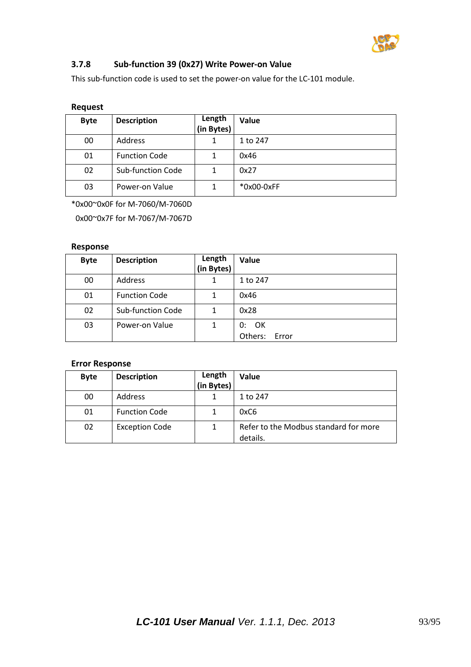

## **3.7.8 Sub-function 39 (0x27) Write Power-on Value**

This sub-function code is used to set the power-on value for the LC-101 module.

### **Request**

| <b>Byte</b> | <b>Description</b>   | Length     | Value      |
|-------------|----------------------|------------|------------|
|             |                      | (in Bytes) |            |
| 00          | Address              | 1          | 1 to 247   |
| 01          | <b>Function Code</b> | 1          | 0x46       |
| 02          | Sub-function Code    | 1          | 0x27       |
| 03          | Power-on Value       | 1          | *0x00-0xFF |

\*0x00~0x0F for M-7060/M-7060D

0x00~0x7F for M-7067/M-7067D

#### **Response**

| <b>Byte</b> | <b>Description</b>   | Length     | Value            |
|-------------|----------------------|------------|------------------|
|             |                      | (in Bytes) |                  |
| 00          | Address              | 1          | 1 to 247         |
| 01          | <b>Function Code</b> | 1          | 0x46             |
| 02          | Sub-function Code    | 1          | 0x28             |
| 03          | Power-on Value       | 1          | 0: OK            |
|             |                      |            | Others:<br>Error |

| <b>Byte</b> | <b>Description</b>    | Length<br>(in Bytes) | Value                                             |
|-------------|-----------------------|----------------------|---------------------------------------------------|
| 00          | Address               |                      | 1 to 247                                          |
| 01          | <b>Function Code</b>  |                      | 0xC6                                              |
| 02          | <b>Exception Code</b> |                      | Refer to the Modbus standard for more<br>details. |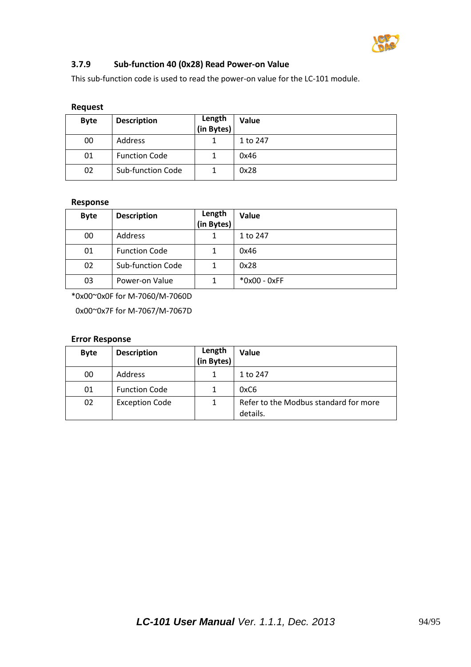

## **3.7.9 Sub-function 40 (0x28) Read Power-on Value**

This sub-function code is used to read the power-on value for the LC-101 module.

### **Request**

| <b>Byte</b> | <b>Description</b>   | Length     | Value    |
|-------------|----------------------|------------|----------|
|             |                      | (in Bytes) |          |
| 00          | Address              |            | 1 to 247 |
| 01          | <b>Function Code</b> |            | 0x46     |
| 02          | Sub-function Code    |            | 0x28     |

## **Response**

| <b>Byte</b> | <b>Description</b>       | Length     | Value        |
|-------------|--------------------------|------------|--------------|
|             |                          | (in Bytes) |              |
| 00          | Address                  |            | 1 to 247     |
| 01          | <b>Function Code</b>     | 1          | 0x46         |
| 02          | <b>Sub-function Code</b> | 1          | 0x28         |
| 03          | Power-on Value           | 1          | *0x00 - 0xFF |

\*0x00~0x0F for M-7060/M-7060D

0x00~0x7F for M-7067/M-7067D

| <b>Byte</b> | <b>Description</b>    | Length<br>(in Bytes) | Value                                 |
|-------------|-----------------------|----------------------|---------------------------------------|
| 00          | Address               |                      | 1 to 247                              |
| 01          | <b>Function Code</b>  | 1                    | 0xC6                                  |
| 02          | <b>Exception Code</b> | 1.                   | Refer to the Modbus standard for more |
|             |                       |                      | details.                              |